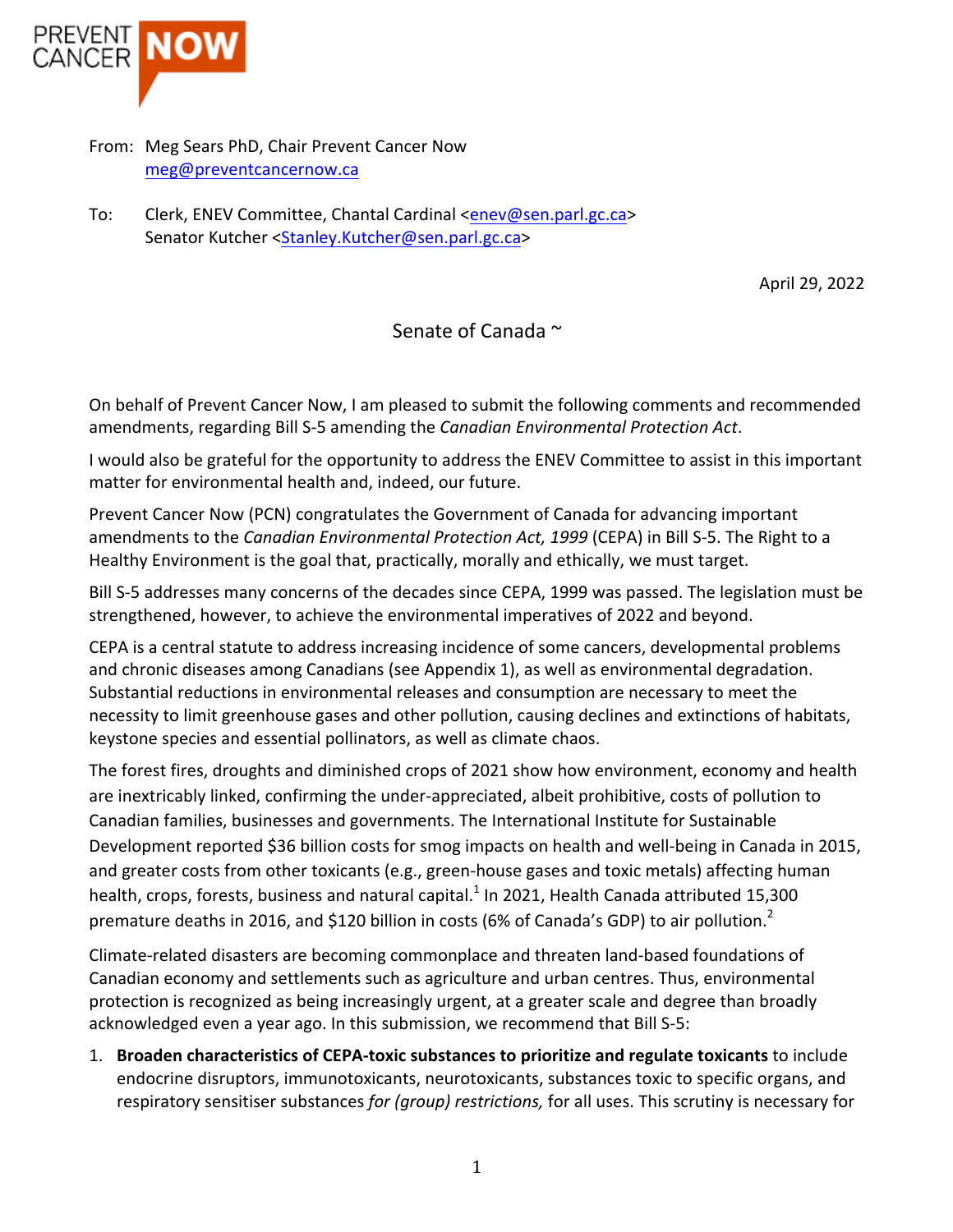

- From: Meg Sears PhD, Chair Prevent Cancer Now meg@preventcancernow.ca
- To: Clerk, ENEV Committee, Chantal Cardinal <enev@sen.parl.gc.ca> Senator Kutcher <Stanley.Kutcher@sen.parl.gc.ca>

April 29, 2022

Senate of Canada ~

On behalf of Prevent Cancer Now, I am pleased to submit the following comments and recommended amendments, regarding Bill S-5 amending the *Canadian Environmental Protection Act*.

I would also be grateful for the opportunity to address the ENEV Committee to assist in this important matter for environmental health and, indeed, our future.

Prevent Cancer Now (PCN) congratulates the Government of Canada for advancing important amendments to the *Canadian Environmental Protection Act, 1999* (CEPA) in Bill S-5. The Right to a Healthy Environment is the goal that, practically, morally and ethically, we must target.

Bill S-5 addresses many concerns of the decades since CEPA, 1999 was passed. The legislation must be strengthened, however, to achieve the environmental imperatives of 2022 and beyond.

CEPA is a central statute to address increasing incidence of some cancers, developmental problems and chronic diseases among Canadians (see Appendix 1), as well as environmental degradation. Substantial reductions in environmental releases and consumption are necessary to meet the necessity to limit greenhouse gases and other pollution, causing declines and extinctions of habitats, keystone species and essential pollinators, as well as climate chaos.

The forest fires, droughts and diminished crops of 2021 show how environment, economy and health are inextricably linked, confirming the under-appreciated, albeit prohibitive, costs of pollution to Canadian families, businesses and governments. The International Institute for Sustainable Development reported \$36 billion costs for smog impacts on health and well-being in Canada in 2015, and greater costs from other toxicants (e.g., green-house gases and toxic metals) affecting human health, crops, forests, business and natural capital.<sup>1</sup> In 2021, Health Canada attributed 15,300 premature deaths in 2016, and \$120 billion in costs (6% of Canada's GDP) to air pollution.<sup>2</sup>

Climate-related disasters are becoming commonplace and threaten land-based foundations of Canadian economy and settlements such as agriculture and urban centres. Thus, environmental protection is recognized as being increasingly urgent, at a greater scale and degree than broadly acknowledged even a year ago. In this submission, we recommend that Bill S-5:

**1.** Broaden characteristics of CEPA-toxic substances to prioritize and regulate toxicants to include endocrine disruptors, immunotoxicants, neurotoxicants, substances toxic to specific organs, and respiratory sensitiser substances *for (group) restrictions*, for all uses. This scrutiny is necessary for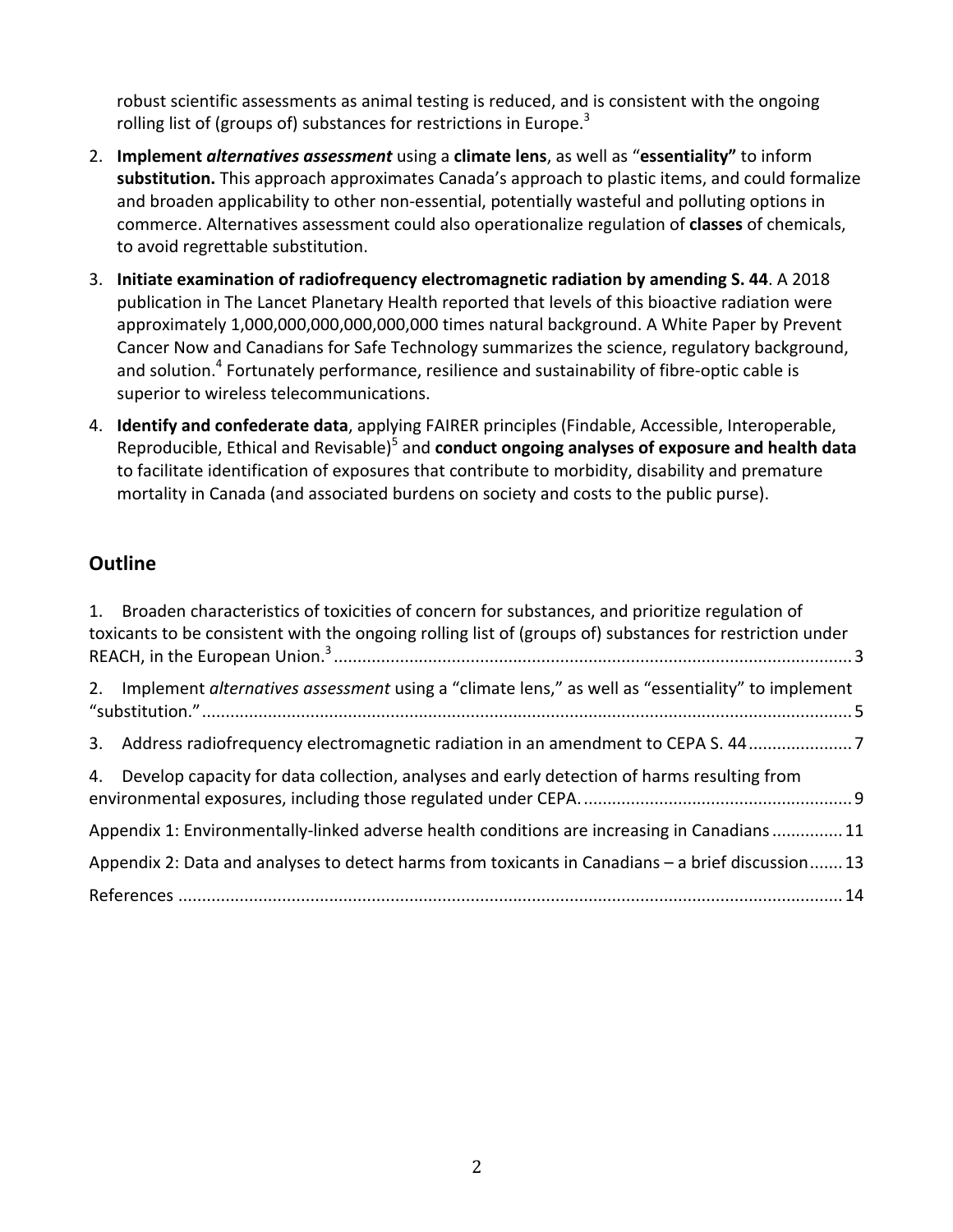robust scientific assessments as animal testing is reduced, and is consistent with the ongoing rolling list of (groups of) substances for restrictions in Europe.<sup>3</sup>

- 2. **Implement** *alternatives assessment* using a climate lens, as well as "essentiality" to inform substitution. This approach approximates Canada's approach to plastic items, and could formalize and broaden applicability to other non-essential, potentially wasteful and polluting options in commerce. Alternatives assessment could also operationalize regulation of **classes** of chemicals, to avoid regrettable substitution.
- 3. **Initiate examination of radiofrequency electromagnetic radiation by amending S. 44**. A 2018 publication in The Lancet Planetary Health reported that levels of this bioactive radiation were approximately 1,000,000,000,000,000,000 times natural background. A White Paper by Prevent Cancer Now and Canadians for Safe Technology summarizes the science, regulatory background, and solution.<sup>4</sup> Fortunately performance, resilience and sustainability of fibre-optic cable is superior to wireless telecommunications.
- 4. **Identify and confederate data**, applying FAIRER principles (Findable, Accessible, Interoperable, Reproducible, Ethical and Revisable)<sup>5</sup> and **conduct ongoing analyses of exposure and health data** to facilitate identification of exposures that contribute to morbidity, disability and premature mortality in Canada (and associated burdens on society and costs to the public purse).

## **Outline**

| 1. Broaden characteristics of toxicities of concern for substances, and prioritize regulation of<br>toxicants to be consistent with the ongoing rolling list of (groups of) substances for restriction under |
|--------------------------------------------------------------------------------------------------------------------------------------------------------------------------------------------------------------|
| 2. Implement alternatives assessment using a "climate lens," as well as "essentiality" to implement                                                                                                          |
| 3. Address radiofrequency electromagnetic radiation in an amendment to CEPA S. 44                                                                                                                            |
| 4. Develop capacity for data collection, analyses and early detection of harms resulting from                                                                                                                |
| Appendix 1: Environmentally-linked adverse health conditions are increasing in Canadians 11                                                                                                                  |
| Appendix 2: Data and analyses to detect harms from toxicants in Canadians - a brief discussion 13                                                                                                            |
|                                                                                                                                                                                                              |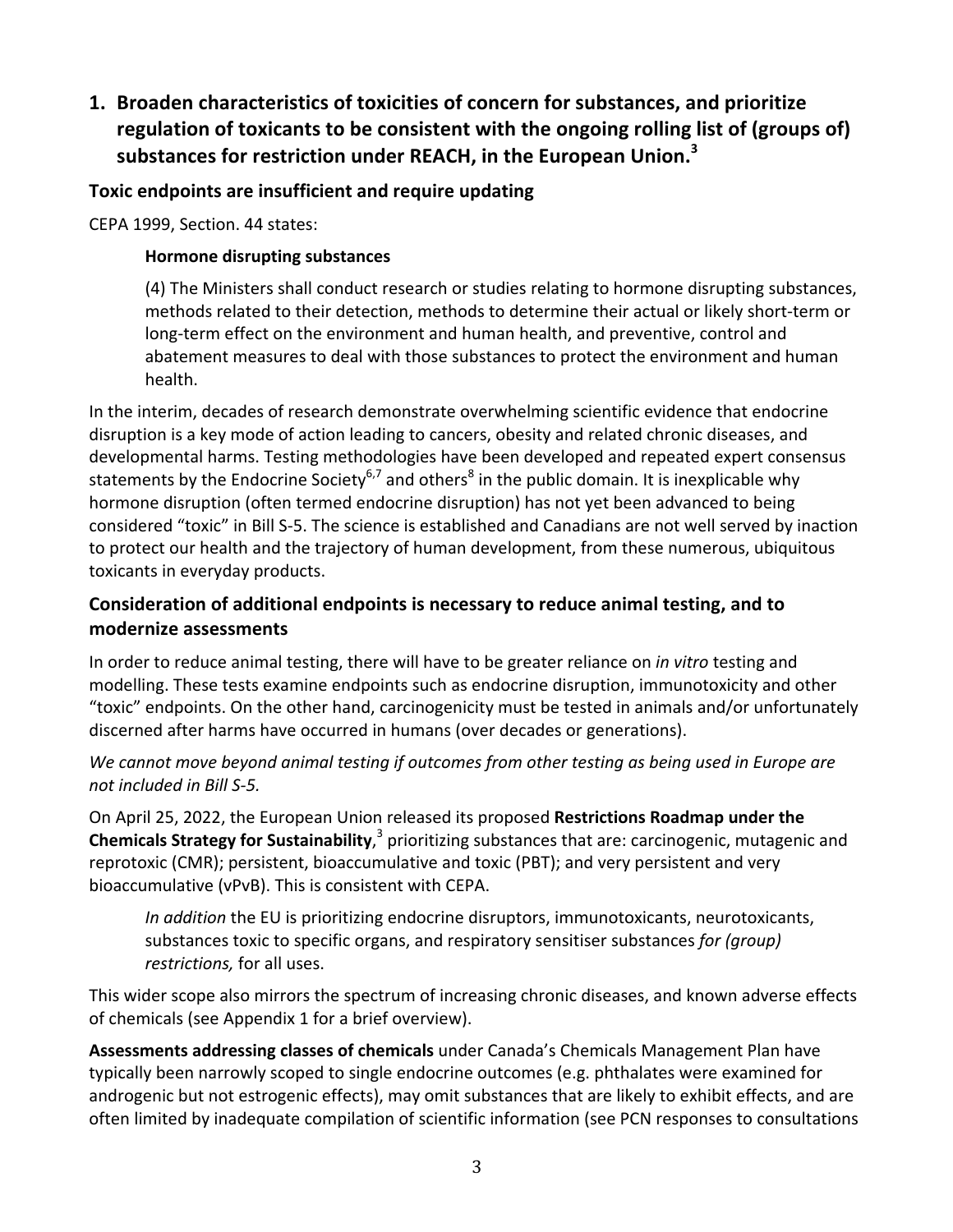1. **Broaden characteristics of toxicities of concern for substances, and prioritize** regulation of toxicants to be consistent with the ongoing rolling list of (groups of) substances for restriction under REACH, in the European Union.<sup>3</sup>

### **Toxic endpoints are insufficient and require updating**

CEPA 1999, Section. 44 states:

#### **Hormone disrupting substances**

(4) The Ministers shall conduct research or studies relating to hormone disrupting substances, methods related to their detection, methods to determine their actual or likely short-term or long-term effect on the environment and human health, and preventive, control and abatement measures to deal with those substances to protect the environment and human health.

In the interim, decades of research demonstrate overwhelming scientific evidence that endocrine disruption is a key mode of action leading to cancers, obesity and related chronic diseases, and developmental harms. Testing methodologies have been developed and repeated expert consensus statements by the Endocrine Society<sup>6,7</sup> and others<sup>8</sup> in the public domain. It is inexplicable why hormone disruption (often termed endocrine disruption) has not yet been advanced to being considered "toxic" in Bill S-5. The science is established and Canadians are not well served by inaction to protect our health and the trajectory of human development, from these numerous, ubiquitous toxicants in everyday products.

### Consideration of additional endpoints is necessary to reduce animal testing, and to **modernize assessments**

In order to reduce animal testing, there will have to be greater reliance on *in vitro* testing and modelling. These tests examine endpoints such as endocrine disruption, immunotoxicity and other "toxic" endpoints. On the other hand, carcinogenicity must be tested in animals and/or unfortunately discerned after harms have occurred in humans (over decades or generations).

We cannot move beyond animal testing if outcomes from other testing as being used in Europe are *not included in Bill S-5.* 

On April 25, 2022, the European Union released its proposed **Restrictions Roadmap under the Chemicals Strategy for Sustainability**,<sup>3</sup> prioritizing substances that are: carcinogenic, mutagenic and reprotoxic (CMR); persistent, bioaccumulative and toxic (PBT); and very persistent and very bioaccumulative (vPvB). This is consistent with CEPA.

*In addition* the EU is prioritizing endocrine disruptors, immunotoxicants, neurotoxicants, substances toxic to specific organs, and respiratory sensitiser substances *for (group) restrictions*, for all uses.

This wider scope also mirrors the spectrum of increasing chronic diseases, and known adverse effects of chemicals (see Appendix 1 for a brief overview).

**Assessments addressing classes of chemicals** under Canada's Chemicals Management Plan have typically been narrowly scoped to single endocrine outcomes (e.g. phthalates were examined for androgenic but not estrogenic effects), may omit substances that are likely to exhibit effects, and are often limited by inadequate compilation of scientific information (see PCN responses to consultations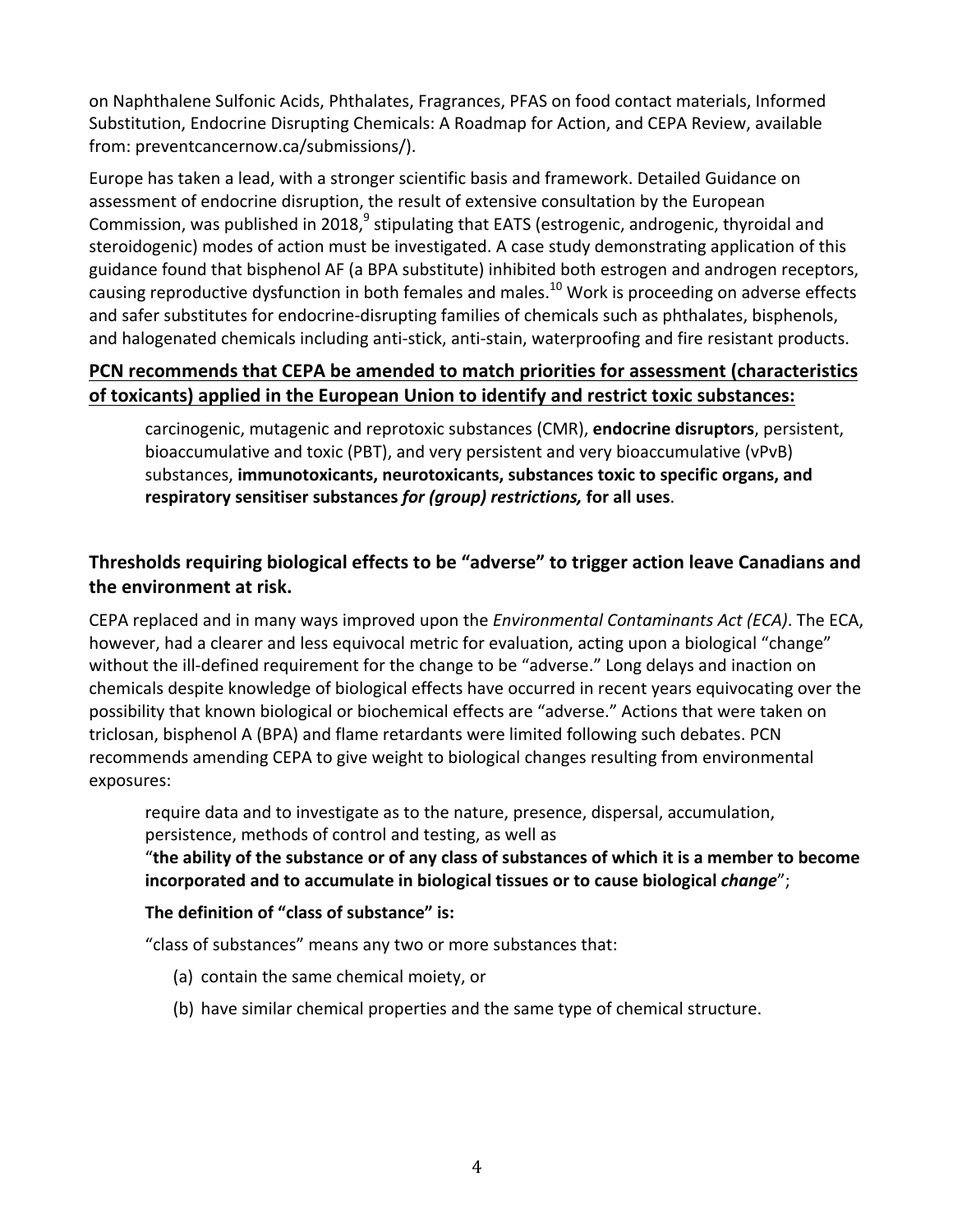on Naphthalene Sulfonic Acids, Phthalates, Fragrances, PFAS on food contact materials, Informed Substitution, Endocrine Disrupting Chemicals: A Roadmap for Action, and CEPA Review, available from: preventcancernow.ca/submissions/).

Europe has taken a lead, with a stronger scientific basis and framework. Detailed Guidance on assessment of endocrine disruption, the result of extensive consultation by the European Commission, was published in 2018, $^9$  stipulating that EATS (estrogenic, androgenic, thyroidal and steroidogenic) modes of action must be investigated. A case study demonstrating application of this guidance found that bisphenol AF (a BPA substitute) inhibited both estrogen and androgen receptors, causing reproductive dysfunction in both females and males.<sup>10</sup> Work is proceeding on adverse effects and safer substitutes for endocrine-disrupting families of chemicals such as phthalates, bisphenols, and halogenated chemicals including anti-stick, anti-stain, waterproofing and fire resistant products.

## **PCN** recommends that CEPA be amended to match priorities for assessment (characteristics of toxicants) applied in the European Union to identify and restrict toxic substances:

carcinogenic, mutagenic and reprotoxic substances (CMR), **endocrine disruptors**, persistent, bioaccumulative and toxic (PBT), and very persistent and very bioaccumulative (vPvB) substances, immunotoxicants, neurotoxicants, substances toxic to specific organs, and respiratory sensitiser substances *for (group) restrictions,* for all uses.

## Thresholds requiring biological effects to be "adverse" to trigger action leave Canadians and **the environment at risk.**

CEPA replaced and in many ways improved upon the *Environmental Contaminants Act (ECA)*. The ECA, however, had a clearer and less equivocal metric for evaluation, acting upon a biological "change" without the ill-defined requirement for the change to be "adverse." Long delays and inaction on chemicals despite knowledge of biological effects have occurred in recent years equivocating over the possibility that known biological or biochemical effects are "adverse." Actions that were taken on triclosan, bisphenol A (BPA) and flame retardants were limited following such debates. PCN recommends amending CEPA to give weight to biological changes resulting from environmental exposures:

require data and to investigate as to the nature, presence, dispersal, accumulation, persistence, methods of control and testing, as well as

### "the ability of the substance or of any class of substances of which it is a member to become **incorporated and to accumulate in biological tissues or to cause biological** *change***";**

### The definition of "class of substance" is:

"class of substances" means any two or more substances that:

- (a) contain the same chemical moiety, or
- (b) have similar chemical properties and the same type of chemical structure.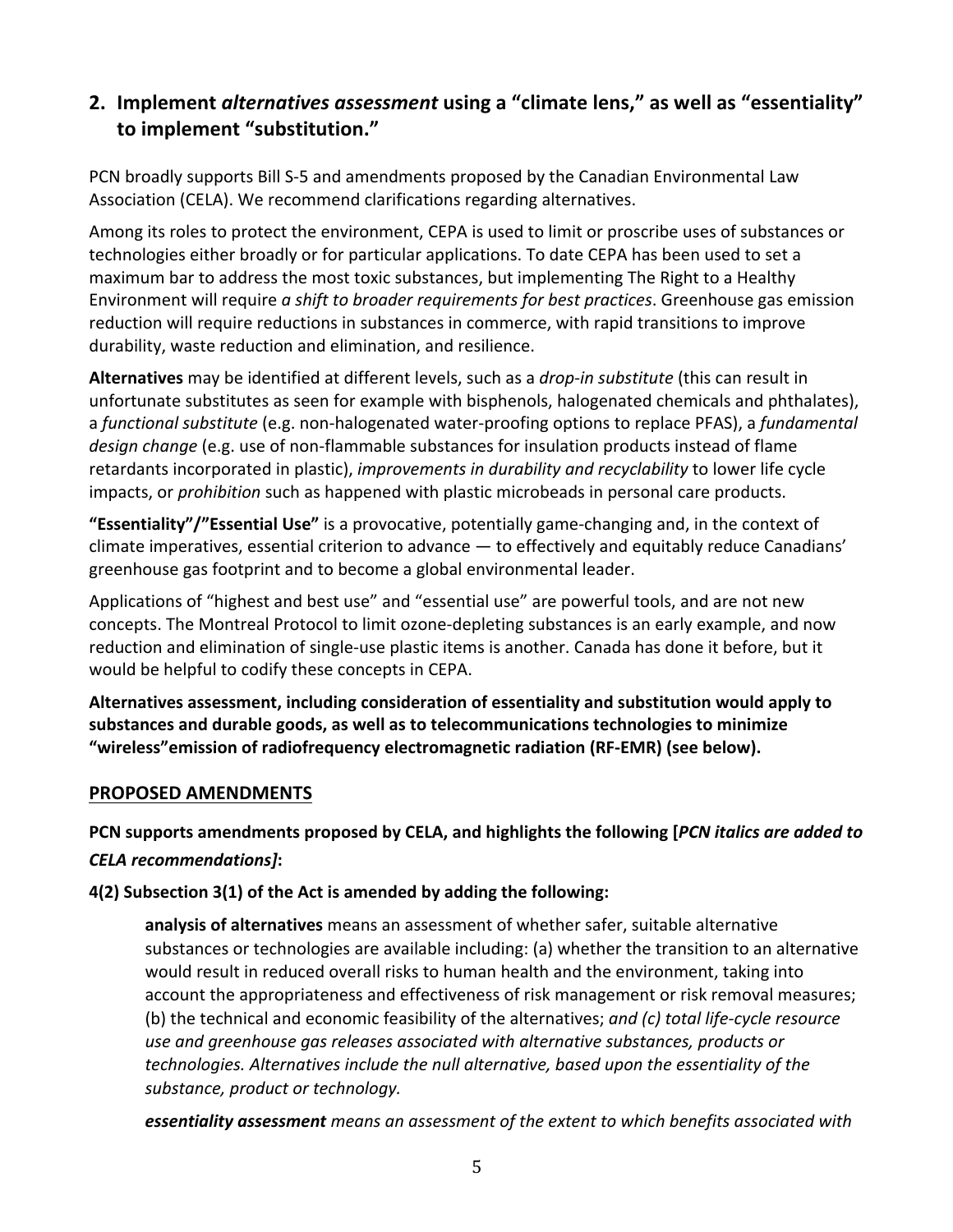# **2.** Implement *alternatives assessment* using a "climate lens," as well as "essentiality" to implement "substitution."

PCN broadly supports Bill S-5 and amendments proposed by the Canadian Environmental Law Association (CELA). We recommend clarifications regarding alternatives.

Among its roles to protect the environment, CEPA is used to limit or proscribe uses of substances or technologies either broadly or for particular applications. To date CEPA has been used to set a maximum bar to address the most toxic substances, but implementing The Right to a Healthy Environment will require *a shift to broader requirements for best practices*. Greenhouse gas emission reduction will require reductions in substances in commerce, with rapid transitions to improve durability, waste reduction and elimination, and resilience.

Alternatives may be identified at different levels, such as a *drop-in substitute* (this can result in unfortunate substitutes as seen for example with bisphenols, halogenated chemicals and phthalates), a *functional substitute* (e.g. non-halogenated water-proofing options to replace PFAS), a *fundamental* design change (e.g. use of non-flammable substances for insulation products instead of flame retardants incorporated in plastic), *improvements in durability and recyclability* to lower life cycle impacts, or *prohibition* such as happened with plastic microbeads in personal care products.

**"Essentiality"/"Essential Use"** is a provocative, potentially game-changing and, in the context of climate imperatives, essential criterion to advance  $-$  to effectively and equitably reduce Canadians' greenhouse gas footprint and to become a global environmental leader.

Applications of "highest and best use" and "essential use" are powerful tools, and are not new concepts. The Montreal Protocol to limit ozone-depleting substances is an early example, and now reduction and elimination of single-use plastic items is another. Canada has done it before, but it would be helpful to codify these concepts in CEPA.

Alternatives assessment, including consideration of essentiality and substitution would apply to substances and durable goods, as well as to telecommunications technologies to minimize "wireless" emission of radiofrequency electromagnetic radiation (RF-EMR) (see below).

### **PROPOSED AMENDMENTS**

PCN supports amendments proposed by CELA, and highlights the following [PCN *italics are added to CELA recommendations]***:**

**4(2)** Subsection 3(1) of the Act is amended by adding the following:

**analysis of alternatives** means an assessment of whether safer, suitable alternative substances or technologies are available including: (a) whether the transition to an alternative would result in reduced overall risks to human health and the environment, taking into account the appropriateness and effectiveness of risk management or risk removal measures; (b) the technical and economic feasibility of the alternatives; and (c) total life-cycle resource use and greenhouse gas releases associated with alternative substances, products or *technologies.* Alternatives include the null alternative, based upon the essentiality of the substance, product or technology.

**essentiality assessment** means an assessment of the extent to which benefits associated with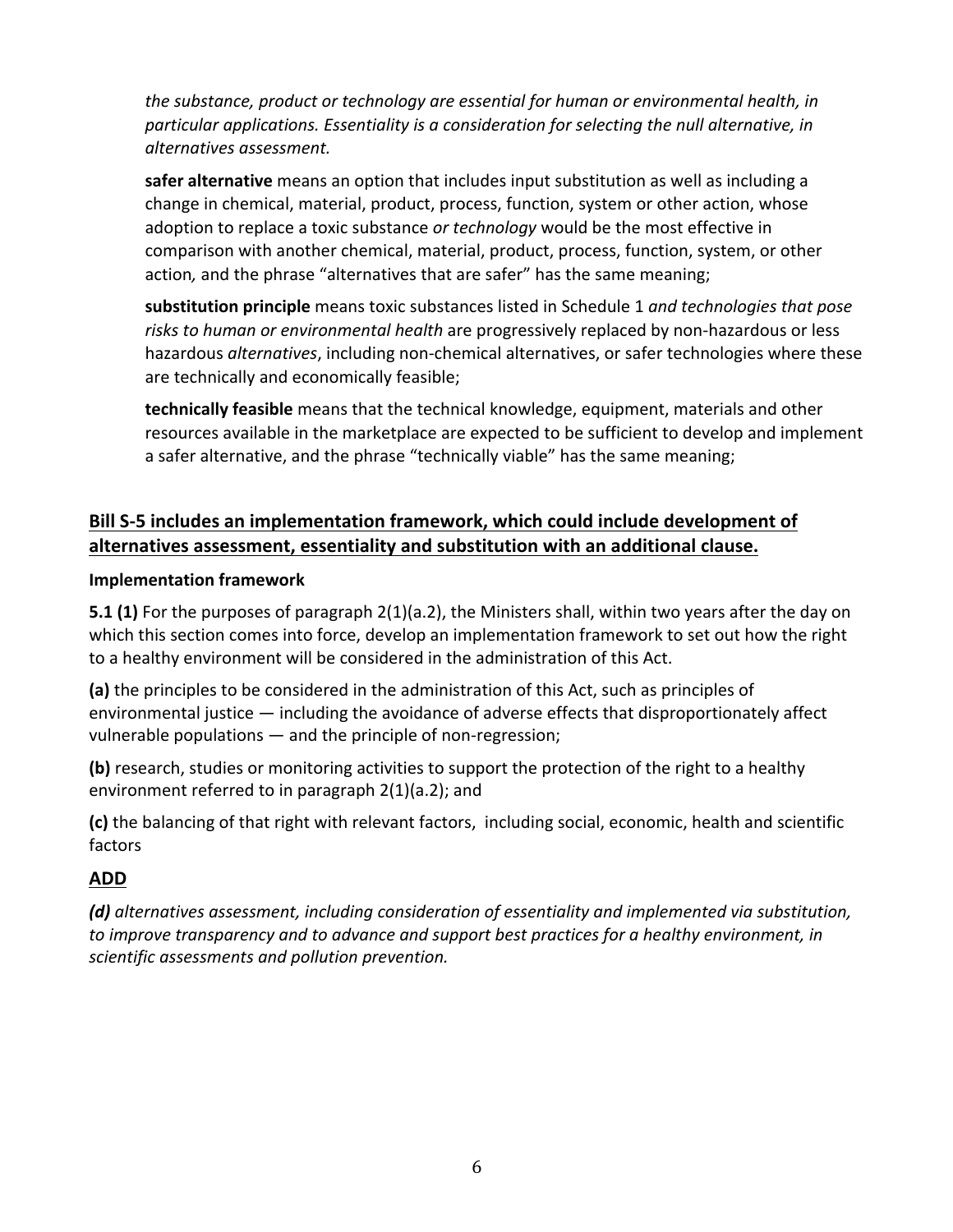the substance, product or technology are essential for human or environmental health, in particular applications. Essentiality is a consideration for selecting the null alternative, in *alternatives assessment.* 

**safer alternative** means an option that includes input substitution as well as including a change in chemical, material, product, process, function, system or other action, whose adoption to replace a toxic substance or technology would be the most effective in comparison with another chemical, material, product, process, function, system, or other action, and the phrase "alternatives that are safer" has the same meaning;

substitution principle means toxic substances listed in Schedule 1 and technologies that pose risks to human or environmental health are progressively replaced by non-hazardous or less hazardous *alternatives*, including non-chemical alternatives, or safer technologies where these are technically and economically feasible;

**technically feasible** means that the technical knowledge, equipment, materials and other resources available in the marketplace are expected to be sufficient to develop and implement a safer alternative, and the phrase "technically viable" has the same meaning;

## Bill S-5 includes an implementation framework, which could include development of alternatives assessment, essentiality and substitution with an additional clause.

#### **Implementation framework**

**5.1 (1)** For the purposes of paragraph 2(1)(a.2), the Ministers shall, within two years after the day on which this section comes into force, develop an implementation framework to set out how the right to a healthy environment will be considered in the administration of this Act.

**(a)** the principles to be considered in the administration of this Act, such as principles of environmental justice  $-$  including the avoidance of adverse effects that disproportionately affect vulnerable populations  $-$  and the principle of non-regression;

**(b)** research, studies or monitoring activities to support the protection of the right to a healthy environment referred to in paragraph  $2(1)(a.2)$ ; and

(c) the balancing of that right with relevant factors, including social, economic, health and scientific factors 

## **ADD**

**(d)** alternatives assessment, including consideration of essentiality and implemented via substitution, *to* improve transparency and to advance and support best practices for a healthy environment, in scientific assessments and pollution prevention.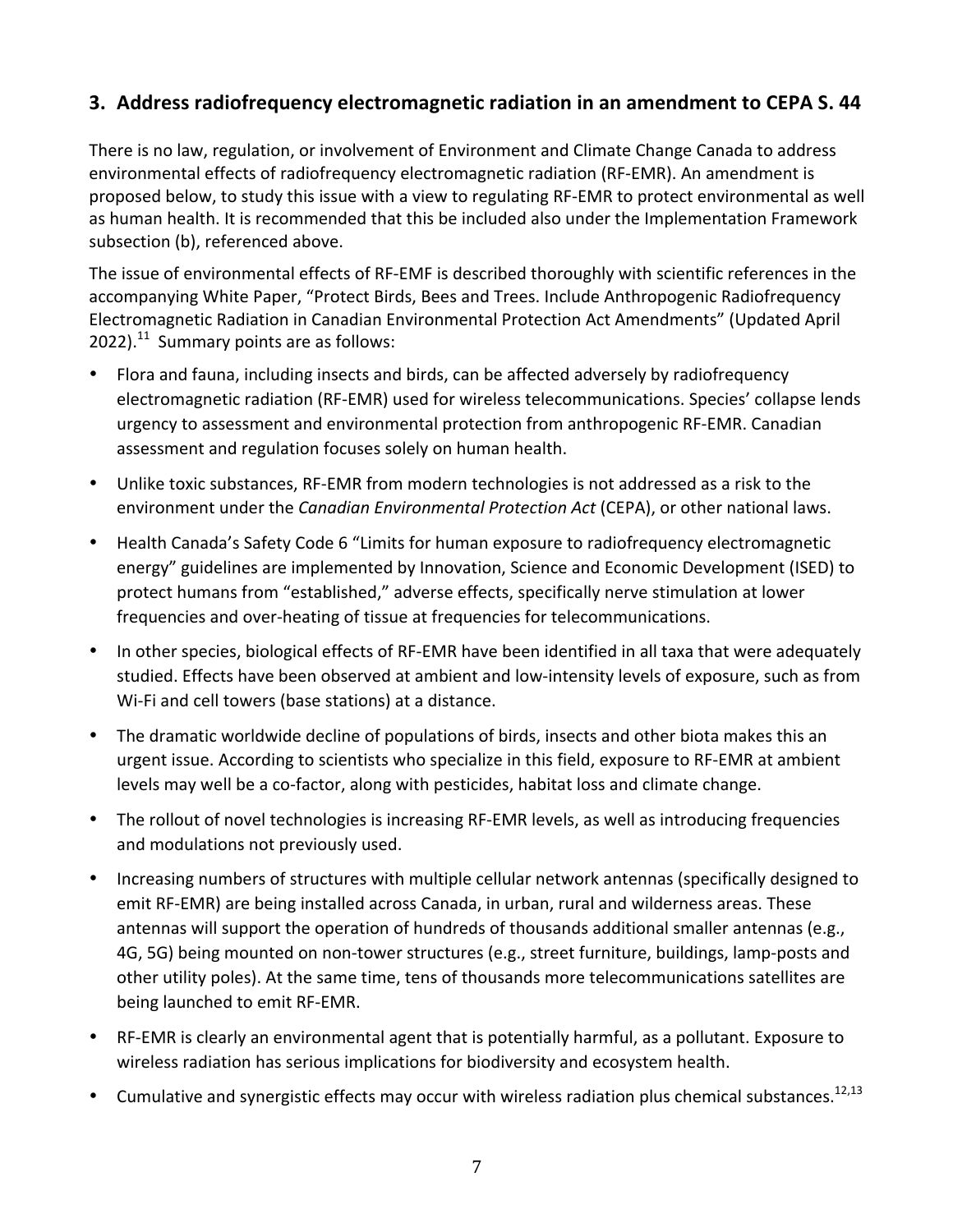# **3. Address radiofrequency electromagnetic radiation in an amendment to CEPA S. 44**

There is no law, regulation, or involvement of Environment and Climate Change Canada to address environmental effects of radiofrequency electromagnetic radiation (RF-EMR). An amendment is proposed below, to study this issue with a view to regulating RF-EMR to protect environmental as well as human health. It is recommended that this be included also under the Implementation Framework subsection (b), referenced above.

The issue of environmental effects of RF-EMF is described thoroughly with scientific references in the accompanying White Paper, "Protect Birds, Bees and Trees. Include Anthropogenic Radiofrequency Electromagnetic Radiation in Canadian Environmental Protection Act Amendments" (Updated April 2022).<sup>11</sup> Summary points are as follows:

- Flora and fauna, including insects and birds, can be affected adversely by radiofrequency electromagnetic radiation (RF-EMR) used for wireless telecommunications. Species' collapse lends urgency to assessment and environmental protection from anthropogenic RF-EMR. Canadian assessment and regulation focuses solely on human health.
- Unlike toxic substances, RF-EMR from modern technologies is not addressed as a risk to the environment under the *Canadian Environmental Protection Act* (CEPA), or other national laws.
- Health Canada's Safety Code 6 "Limits for human exposure to radiofrequency electromagnetic energy" guidelines are implemented by Innovation, Science and Economic Development (ISED) to protect humans from "established," adverse effects, specifically nerve stimulation at lower frequencies and over-heating of tissue at frequencies for telecommunications.
- In other species, biological effects of RF-EMR have been identified in all taxa that were adequately studied. Effects have been observed at ambient and low-intensity levels of exposure, such as from Wi-Fi and cell towers (base stations) at a distance.
- The dramatic worldwide decline of populations of birds, insects and other biota makes this an urgent issue. According to scientists who specialize in this field, exposure to RF-EMR at ambient levels may well be a co-factor, along with pesticides, habitat loss and climate change.
- The rollout of novel technologies is increasing RF-EMR levels, as well as introducing frequencies and modulations not previously used.
- Increasing numbers of structures with multiple cellular network antennas (specifically designed to emit RF-EMR) are being installed across Canada, in urban, rural and wilderness areas. These antennas will support the operation of hundreds of thousands additional smaller antennas (e.g., 4G, 5G) being mounted on non-tower structures (e.g., street furniture, buildings, lamp-posts and other utility poles). At the same time, tens of thousands more telecommunications satellites are being launched to emit RF-EMR.
- RF-EMR is clearly an environmental agent that is potentially harmful, as a pollutant. Exposure to wireless radiation has serious implications for biodiversity and ecosystem health.
- Cumulative and synergistic effects may occur with wireless radiation plus chemical substances.<sup>12,13</sup>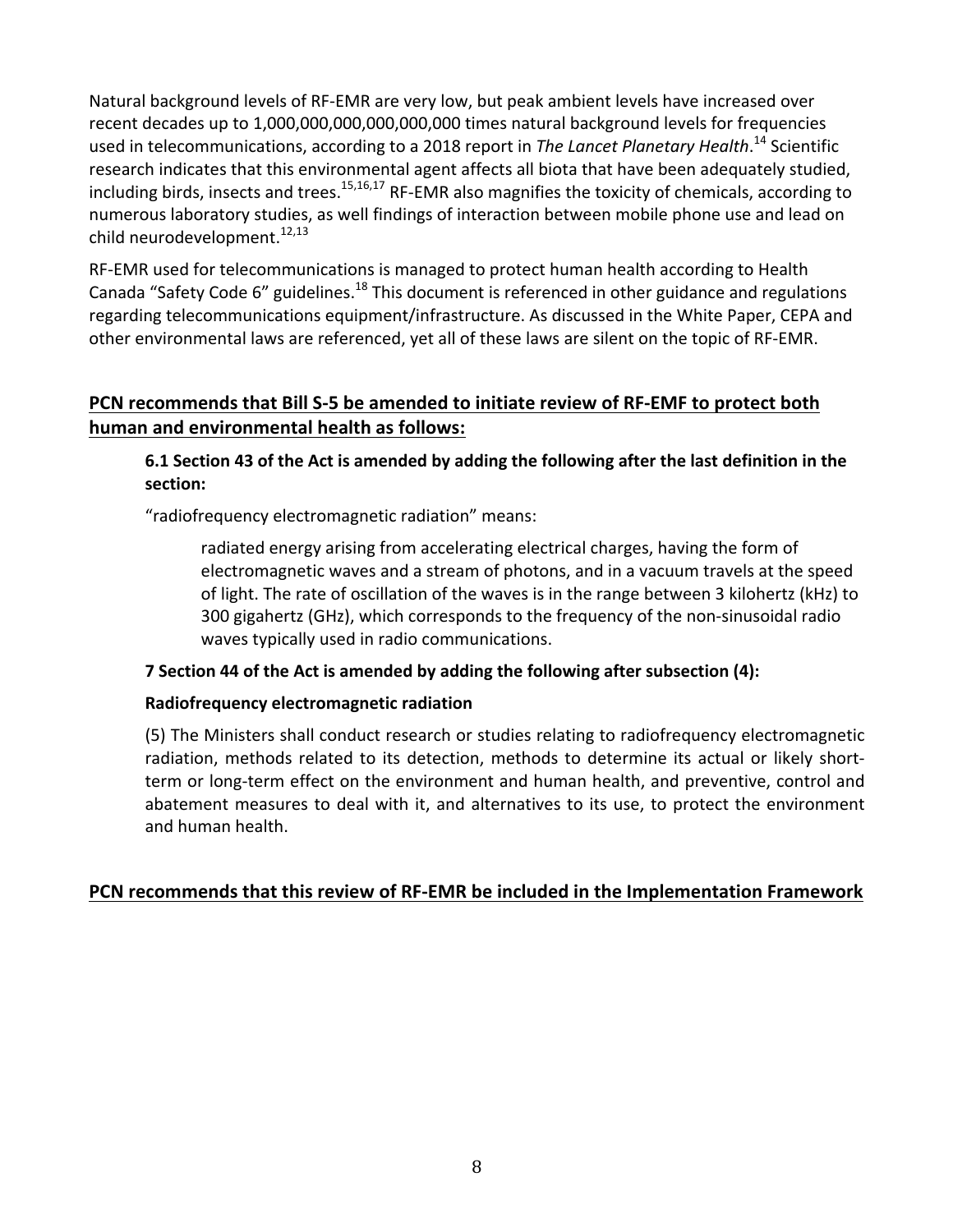Natural background levels of RF-EMR are very low, but peak ambient levels have increased over recent decades up to 1,000,000,000,000,000,000 times natural background levels for frequencies used in telecommunications, according to a 2018 report in *The Lancet Planetary Health*.<sup>14</sup> Scientific research indicates that this environmental agent affects all biota that have been adequately studied, including birds, insects and trees.<sup>15,16,17</sup> RF-EMR also magnifies the toxicity of chemicals, according to numerous laboratory studies, as well findings of interaction between mobile phone use and lead on child neurodevelopment.<sup>12,13</sup>

RF-EMR used for telecommunications is managed to protect human health according to Health Canada "Safety Code 6" guidelines.<sup>18</sup> This document is referenced in other guidance and regulations regarding telecommunications equipment/infrastructure. As discussed in the White Paper, CEPA and other environmental laws are referenced, yet all of these laws are silent on the topic of RF-EMR.

### **PCN** recommends that Bill S-5 be amended to initiate review of RF-EMF to protect both **human and environmental health as follows:**

**6.1 Section 43 of the Act is amended by adding the following after the last definition in the section:**

"radiofrequency electromagnetic radiation" means:

radiated energy arising from accelerating electrical charges, having the form of electromagnetic waves and a stream of photons, and in a vacuum travels at the speed of light. The rate of oscillation of the waves is in the range between 3 kilohertz (kHz) to 300 gigahertz (GHz), which corresponds to the frequency of the non-sinusoidal radio waves typically used in radio communications.

#### **7** Section 44 of the Act is amended by adding the following after subsection (4):

#### **Radiofrequency electromagnetic radiation**

(5) The Ministers shall conduct research or studies relating to radiofrequency electromagnetic radiation, methods related to its detection, methods to determine its actual or likely shortterm or long-term effect on the environment and human health, and preventive, control and abatement measures to deal with it, and alternatives to its use, to protect the environment and human health.

#### **PCN** recommends that this review of RF-EMR be included in the Implementation Framework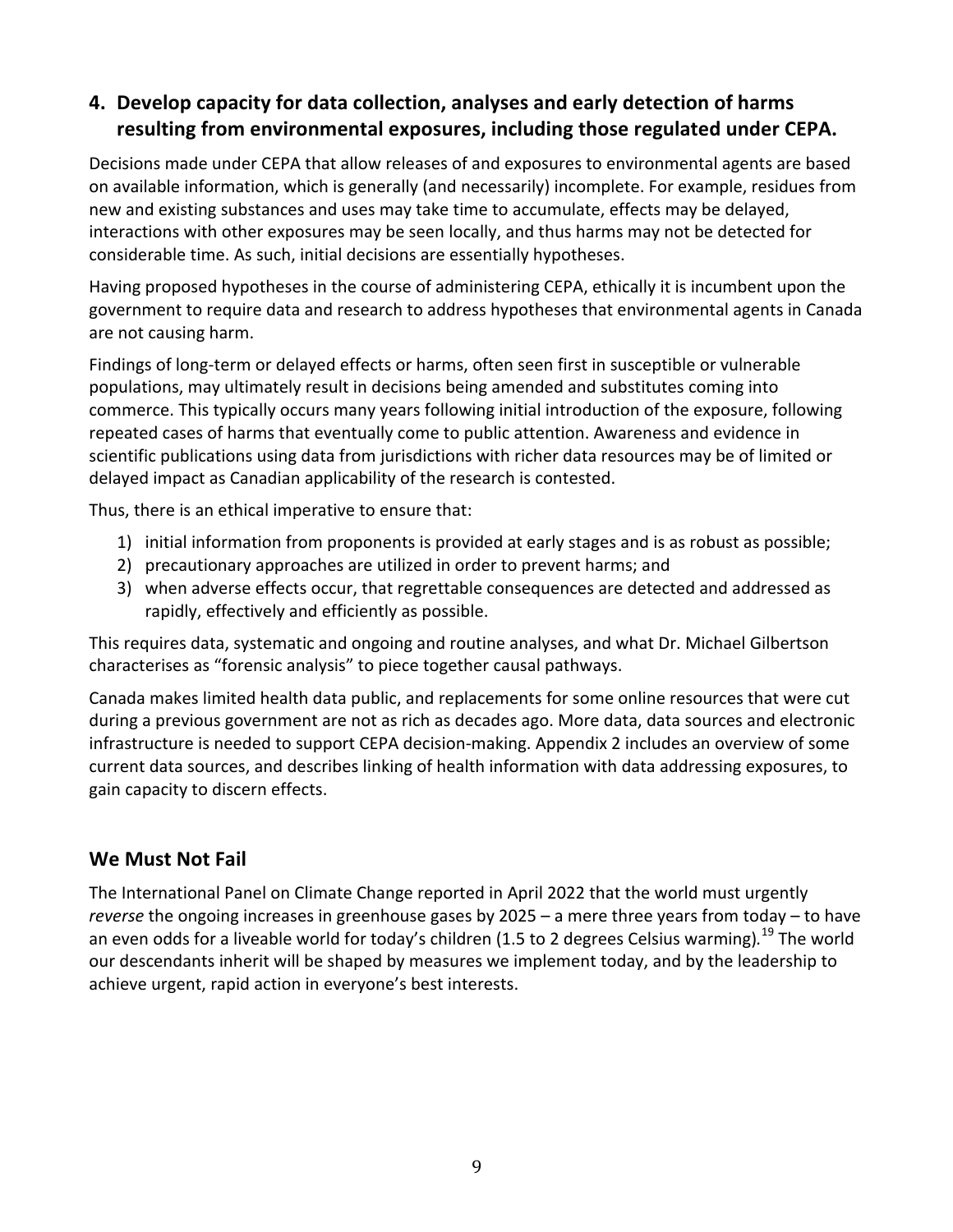# **4. Develop capacity for data collection, analyses and early detection of harms resulting from environmental exposures, including those regulated under CEPA.**

Decisions made under CEPA that allow releases of and exposures to environmental agents are based on available information, which is generally (and necessarily) incomplete. For example, residues from new and existing substances and uses may take time to accumulate, effects may be delayed, interactions with other exposures may be seen locally, and thus harms may not be detected for considerable time. As such, initial decisions are essentially hypotheses.

Having proposed hypotheses in the course of administering CEPA, ethically it is incumbent upon the government to require data and research to address hypotheses that environmental agents in Canada are not causing harm.

Findings of long-term or delayed effects or harms, often seen first in susceptible or vulnerable populations, may ultimately result in decisions being amended and substitutes coming into commerce. This typically occurs many years following initial introduction of the exposure, following repeated cases of harms that eventually come to public attention. Awareness and evidence in scientific publications using data from jurisdictions with richer data resources may be of limited or delayed impact as Canadian applicability of the research is contested.

Thus, there is an ethical imperative to ensure that:

- 1) initial information from proponents is provided at early stages and is as robust as possible;
- 2) precautionary approaches are utilized in order to prevent harms; and
- 3) when adverse effects occur, that regrettable consequences are detected and addressed as rapidly, effectively and efficiently as possible.

This requires data, systematic and ongoing and routine analyses, and what Dr. Michael Gilbertson characterises as "forensic analysis" to piece together causal pathways.

Canada makes limited health data public, and replacements for some online resources that were cut during a previous government are not as rich as decades ago. More data, data sources and electronic infrastructure is needed to support CEPA decision-making. Appendix 2 includes an overview of some current data sources, and describes linking of health information with data addressing exposures, to gain capacity to discern effects.

## We Must Not Fail

The International Panel on Climate Change reported in April 2022 that the world must urgently reverse the ongoing increases in greenhouse gases by 2025 - a mere three years from today - to have an even odds for a liveable world for today's children (1.5 to 2 degrees Celsius warming).<sup>19</sup> The world our descendants inherit will be shaped by measures we implement today, and by the leadership to achieve urgent, rapid action in everyone's best interests.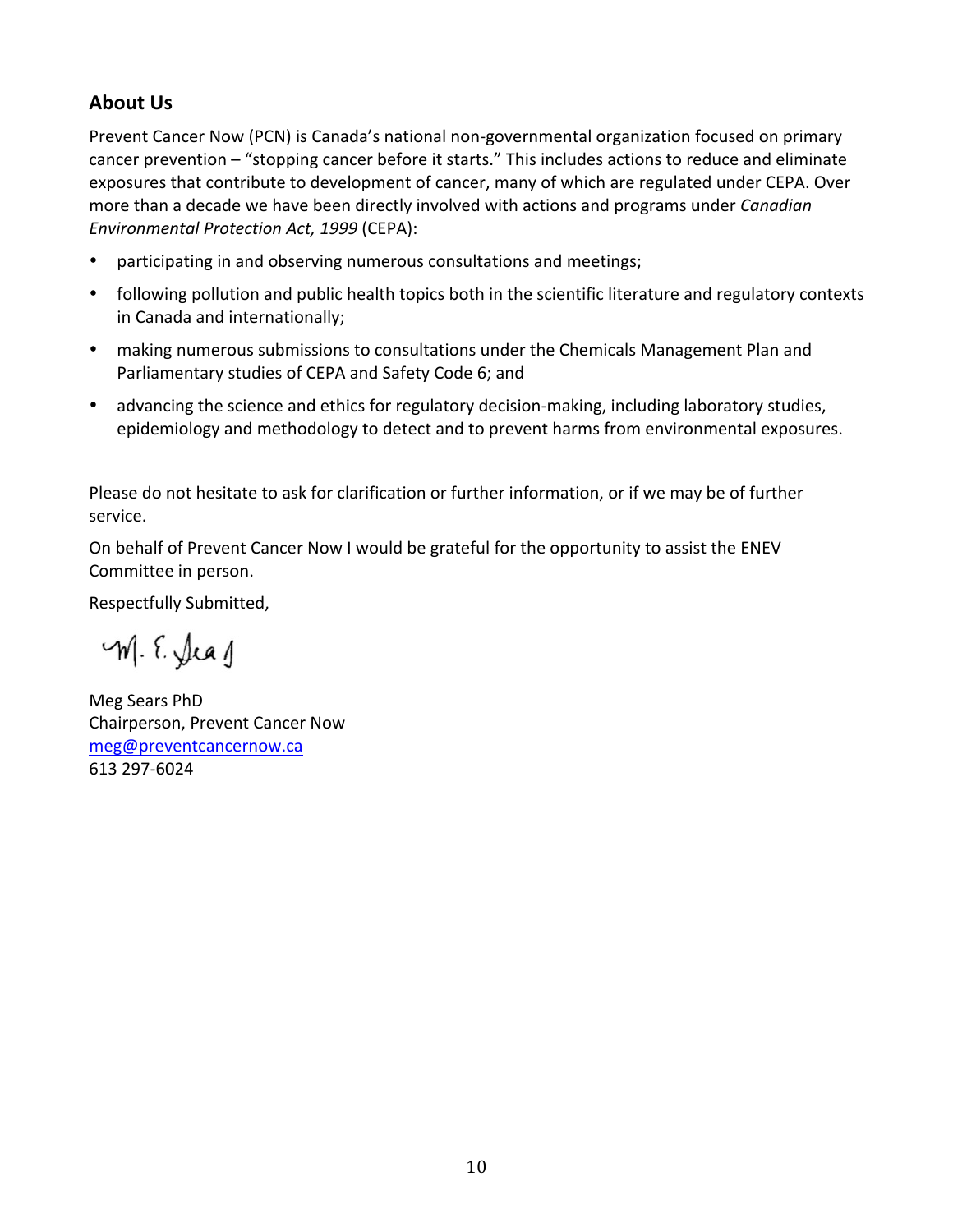## **About Us**

Prevent Cancer Now (PCN) is Canada's national non-governmental organization focused on primary cancer prevention – "stopping cancer before it starts." This includes actions to reduce and eliminate exposures that contribute to development of cancer, many of which are regulated under CEPA. Over more than a decade we have been directly involved with actions and programs under *Canadian Environmental Protection Act, 1999* (CEPA):

- participating in and observing numerous consultations and meetings;
- following pollution and public health topics both in the scientific literature and regulatory contexts in Canada and internationally;
- making numerous submissions to consultations under the Chemicals Management Plan and Parliamentary studies of CEPA and Safety Code 6; and
- advancing the science and ethics for regulatory decision-making, including laboratory studies, epidemiology and methodology to detect and to prevent harms from environmental exposures.

Please do not hesitate to ask for clarification or further information, or if we may be of further service.

On behalf of Prevent Cancer Now I would be grateful for the opportunity to assist the ENEV Committee in person.

Respectfully Submitted,

M. E. Jeag

Meg Sears PhD Chairperson, Prevent Cancer Now meg@preventcancernow.ca 613 297-6024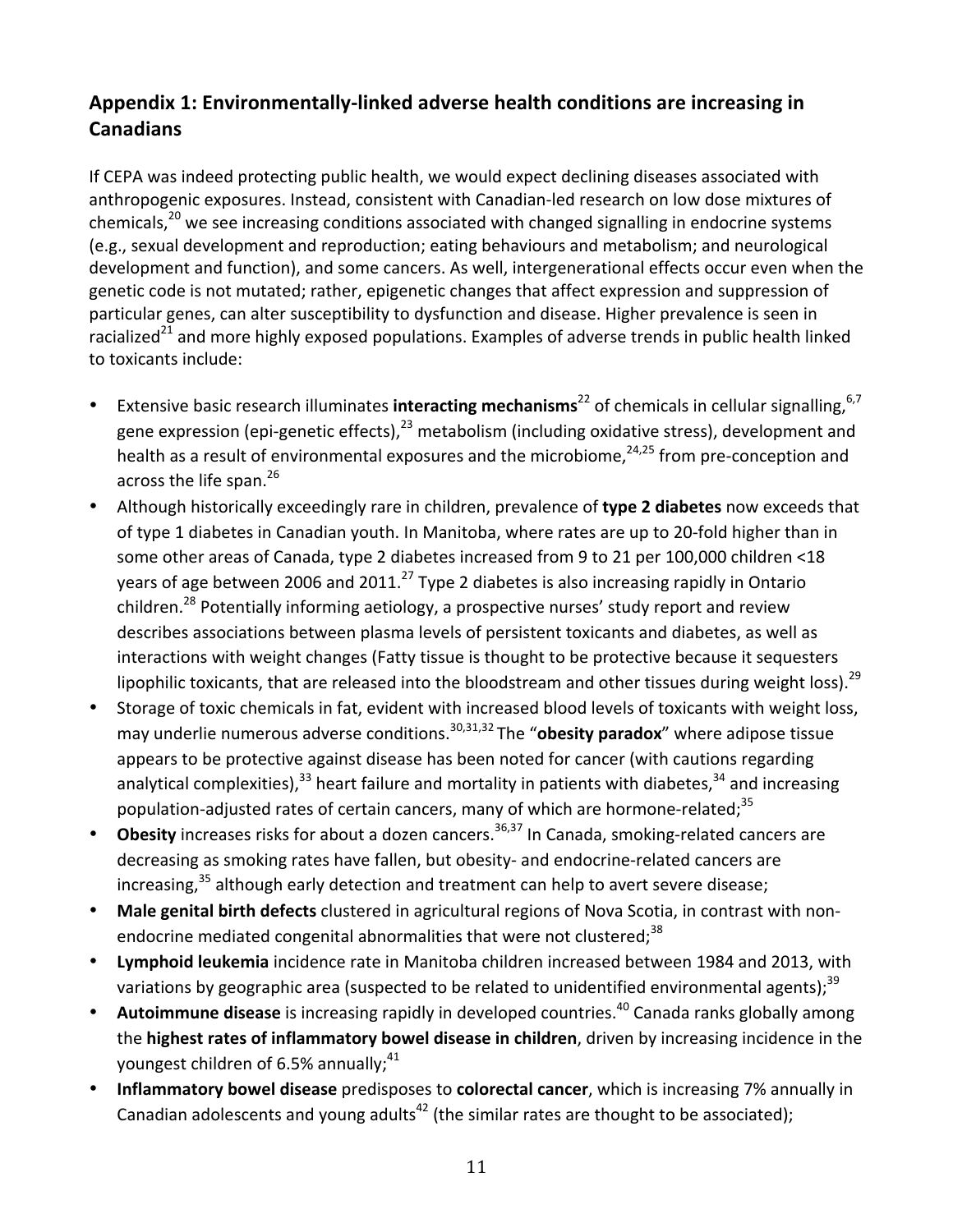# Appendix 1: Environmentally-linked adverse health conditions are increasing in **Canadians**

If CEPA was indeed protecting public health, we would expect declining diseases associated with anthropogenic exposures. Instead, consistent with Canadian-led research on low dose mixtures of chemicals,<sup>20</sup> we see increasing conditions associated with changed signalling in endocrine systems (e.g., sexual development and reproduction; eating behaviours and metabolism; and neurological development and function), and some cancers. As well, intergenerational effects occur even when the genetic code is not mutated; rather, epigenetic changes that affect expression and suppression of particular genes, can alter susceptibility to dysfunction and disease. Higher prevalence is seen in racialized<sup>21</sup> and more highly exposed populations. Examples of adverse trends in public health linked to toxicants include:

- Extensive basic research illuminates **interacting mechanisms**<sup>22</sup> of chemicals in cellular signalling, <sup>6,7</sup> gene expression (epi-genetic effects),  $23$  metabolism (including oxidative stress), development and health as a result of environmental exposures and the microbiome, $24,25$  from pre-conception and across the life span.<sup>26</sup>
- Although historically exceedingly rare in children, prevalence of **type 2 diabetes** now exceeds that of type 1 diabetes in Canadian youth. In Manitoba, where rates are up to 20-fold higher than in some other areas of Canada, type 2 diabetes increased from 9 to 21 per 100,000 children <18 vears of age between 2006 and 2011.<sup>27</sup> Type 2 diabetes is also increasing rapidly in Ontario children.<sup>28</sup> Potentially informing aetiology, a prospective nurses' study report and review describes associations between plasma levels of persistent toxicants and diabetes, as well as interactions with weight changes (Fatty tissue is thought to be protective because it sequesters lipophilic toxicants, that are released into the bloodstream and other tissues during weight loss).<sup>29</sup>
- Storage of toxic chemicals in fat, evident with increased blood levels of toxicants with weight loss, may underlie numerous adverse conditions.<sup>30,31,32</sup> The "**obesity paradox**" where adipose tissue appears to be protective against disease has been noted for cancer (with cautions regarding analytical complexities),<sup>33</sup> heart failure and mortality in patients with diabetes,<sup>34</sup> and increasing population-adjusted rates of certain cancers, many of which are hormone-related;<sup>35</sup>
- **Obesity** increases risks for about a dozen cancers.<sup>36,37</sup> In Canada, smoking-related cancers are decreasing as smoking rates have fallen, but obesity- and endocrine-related cancers are increasing,<sup>35</sup> although early detection and treatment can help to avert severe disease;
- Male genital birth defects clustered in agricultural regions of Nova Scotia, in contrast with nonendocrine mediated congenital abnormalities that were not clustered;<sup>38</sup>
- Lymphoid leukemia incidence rate in Manitoba children increased between 1984 and 2013, with variations by geographic area (suspected to be related to unidentified environmental agents);<sup>39</sup>
- **Autoimmune disease** is increasing rapidly in developed countries.<sup>40</sup> Canada ranks globally among the **highest rates of inflammatory bowel disease in children**, driven by increasing incidence in the youngest children of 6.5% annually; $41$
- **Inflammatory bowel disease** predisposes to **colorectal cancer**, which is increasing 7% annually in Canadian adolescents and young adults<sup>42</sup> (the similar rates are thought to be associated);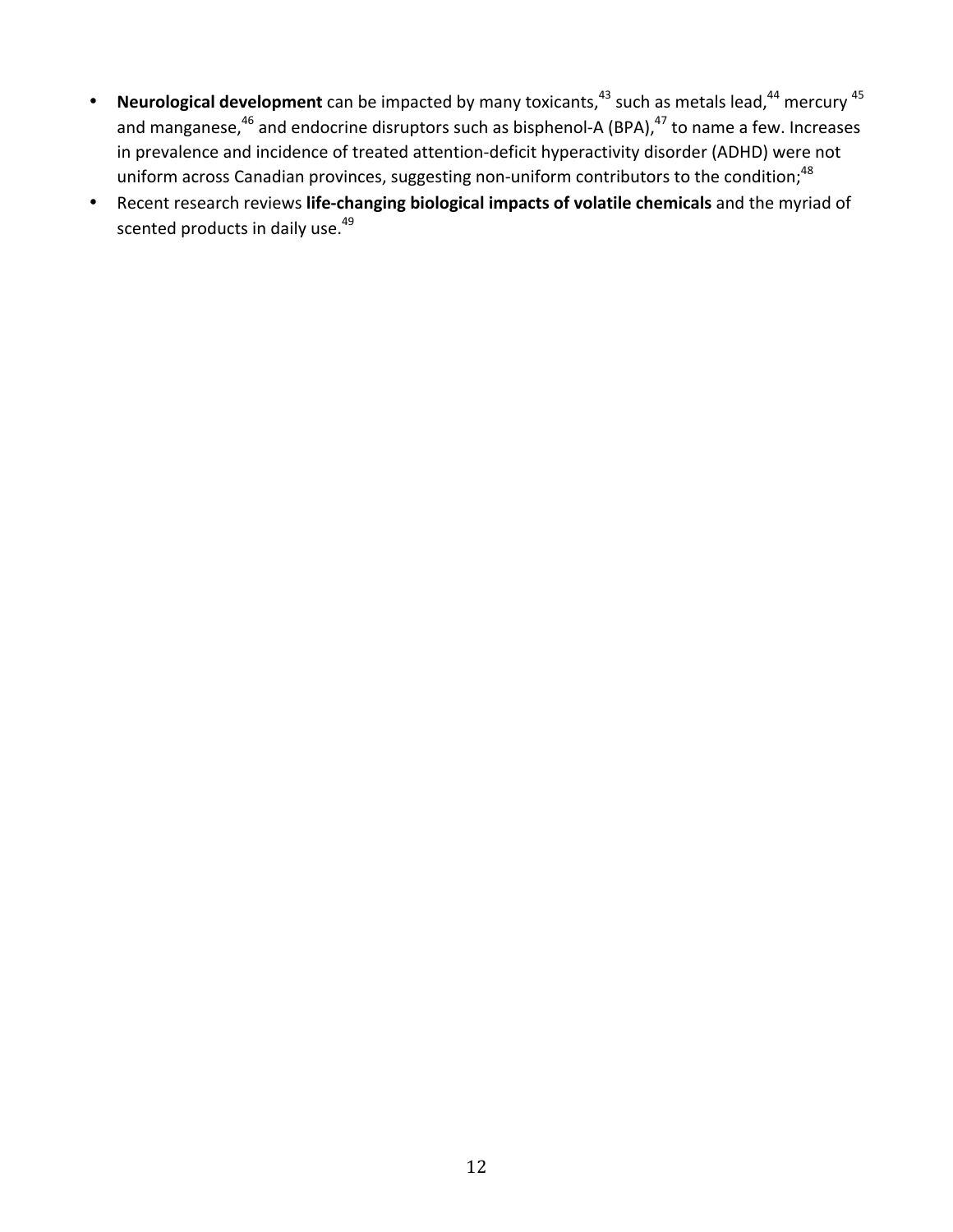- **Neurological development** can be impacted by many toxicants, $43$  such as metals lead, $44$  mercury  $45$ and manganese,  $46$  and endocrine disruptors such as bisphenol-A (BPA),  $47$  to name a few. Increases in prevalence and incidence of treated attention-deficit hyperactivity disorder (ADHD) were not uniform across Canadian provinces, suggesting non-uniform contributors to the condition;<sup>48</sup>
- Recent research reviews life-changing biological impacts of volatile chemicals and the myriad of scented products in daily use.<sup>49</sup>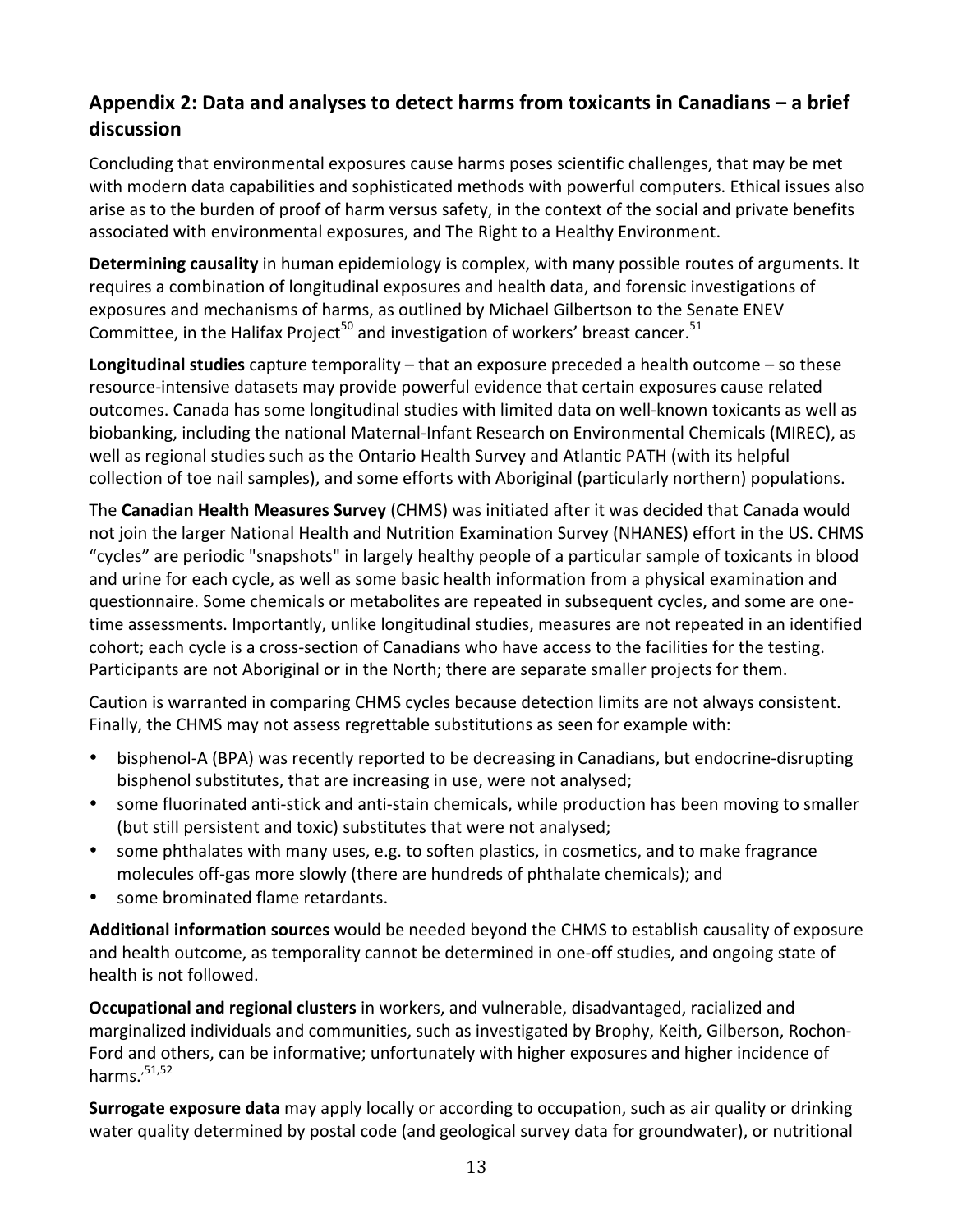# Appendix 2: Data and analyses to detect harms from toxicants in Canadians – a brief **discussion**

Concluding that environmental exposures cause harms poses scientific challenges, that may be met with modern data capabilities and sophisticated methods with powerful computers. Ethical issues also arise as to the burden of proof of harm versus safety, in the context of the social and private benefits associated with environmental exposures, and The Right to a Healthy Environment.

**Determining causality** in human epidemiology is complex, with many possible routes of arguments. It requires a combination of longitudinal exposures and health data, and forensic investigations of exposures and mechanisms of harms, as outlined by Michael Gilbertson to the Senate ENEV Committee, in the Halifax Project<sup>50</sup> and investigation of workers' breast cancer.<sup>51</sup>

**Longitudinal studies** capture temporality – that an exposure preceded a health outcome – so these resource-intensive datasets may provide powerful evidence that certain exposures cause related outcomes. Canada has some longitudinal studies with limited data on well-known toxicants as well as biobanking, including the national Maternal-Infant Research on Environmental Chemicals (MIREC), as well as regional studies such as the Ontario Health Survey and Atlantic PATH (with its helpful collection of toe nail samples), and some efforts with Aboriginal (particularly northern) populations.

The **Canadian Health Measures Survey** (CHMS) was initiated after it was decided that Canada would not join the larger National Health and Nutrition Examination Survey (NHANES) effort in the US. CHMS "cycles" are periodic "snapshots" in largely healthy people of a particular sample of toxicants in blood and urine for each cycle, as well as some basic health information from a physical examination and questionnaire. Some chemicals or metabolites are repeated in subsequent cycles, and some are onetime assessments. Importantly, unlike longitudinal studies, measures are not repeated in an identified cohort; each cycle is a cross-section of Canadians who have access to the facilities for the testing. Participants are not Aboriginal or in the North; there are separate smaller projects for them.

Caution is warranted in comparing CHMS cycles because detection limits are not always consistent. Finally, the CHMS may not assess regrettable substitutions as seen for example with:

- bisphenol-A (BPA) was recently reported to be decreasing in Canadians, but endocrine-disrupting bisphenol substitutes, that are increasing in use, were not analysed;
- some fluorinated anti-stick and anti-stain chemicals, while production has been moving to smaller (but still persistent and toxic) substitutes that were not analysed;
- some phthalates with many uses, e.g. to soften plastics, in cosmetics, and to make fragrance molecules off-gas more slowly (there are hundreds of phthalate chemicals); and
- some brominated flame retardants.

**Additional information sources** would be needed beyond the CHMS to establish causality of exposure and health outcome, as temporality cannot be determined in one-off studies, and ongoing state of health is not followed.

**Occupational and regional clusters** in workers, and vulnerable, disadvantaged, racialized and marginalized individuals and communities, such as investigated by Brophy, Keith, Gilberson, Rochon-Ford and others, can be informative; unfortunately with higher exposures and higher incidence of harms. $51,52$ 

**Surrogate exposure data** may apply locally or according to occupation, such as air quality or drinking water quality determined by postal code (and geological survey data for groundwater), or nutritional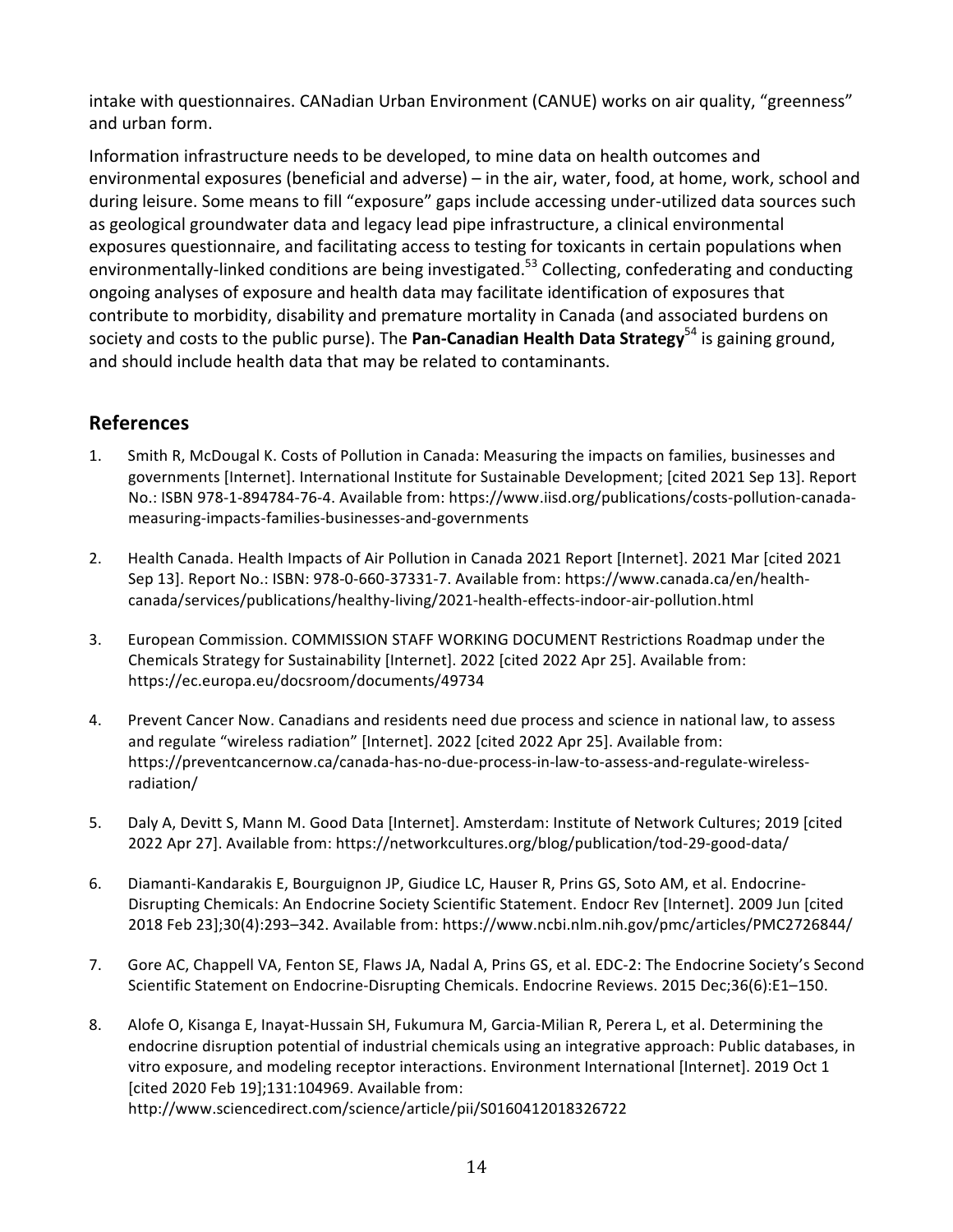intake with questionnaires. CANadian Urban Environment (CANUE) works on air quality, "greenness" and urban form.

Information infrastructure needs to be developed, to mine data on health outcomes and environmental exposures (beneficial and adverse) – in the air, water, food, at home, work, school and during leisure. Some means to fill "exposure" gaps include accessing under-utilized data sources such as geological groundwater data and legacy lead pipe infrastructure, a clinical environmental exposures questionnaire, and facilitating access to testing for toxicants in certain populations when environmentally-linked conditions are being investigated.<sup>53</sup> Collecting, confederating and conducting ongoing analyses of exposure and health data may facilitate identification of exposures that contribute to morbidity, disability and premature mortality in Canada (and associated burdens on society and costs to the public purse). The **Pan-Canadian Health Data Strategy**<sup>54</sup> is gaining ground, and should include health data that may be related to contaminants.

### **References**

- 1. Smith R, McDougal K. Costs of Pollution in Canada: Measuring the impacts on families, businesses and governments [Internet]. International Institute for Sustainable Development; [cited 2021 Sep 13]. Report No.: ISBN 978-1-894784-76-4. Available from: https://www.iisd.org/publications/costs-pollution-canadameasuring-impacts-families-businesses-and-governments
- 2. Health Canada. Health Impacts of Air Pollution in Canada 2021 Report [Internet]. 2021 Mar [cited 2021 Sep 13]. Report No.: ISBN: 978-0-660-37331-7. Available from: https://www.canada.ca/en/healthcanada/services/publications/healthy-living/2021-health-effects-indoor-air-pollution.html
- 3. European Commission. COMMISSION STAFF WORKING DOCUMENT Restrictions Roadmap under the Chemicals Strategy for Sustainability [Internet]. 2022 [cited 2022 Apr 25]. Available from: https://ec.europa.eu/docsroom/documents/49734
- 4. Prevent Cancer Now. Canadians and residents need due process and science in national law, to assess and regulate "wireless radiation" [Internet]. 2022 [cited 2022 Apr 25]. Available from: https://preventcancernow.ca/canada-has-no-due-process-in-law-to-assess-and-regulate-wirelessradiation/
- 5. Daly A, Devitt S, Mann M. Good Data [Internet]. Amsterdam: Institute of Network Cultures; 2019 [cited 2022 Apr 27]. Available from: https://networkcultures.org/blog/publication/tod-29-good-data/
- 6. Diamanti-Kandarakis E, Bourguignon JP, Giudice LC, Hauser R, Prins GS, Soto AM, et al. Endocrine-Disrupting Chemicals: An Endocrine Society Scientific Statement. Endocr Rev [Internet]. 2009 Jun [cited 2018 Feb 23];30(4):293–342. Available from: https://www.ncbi.nlm.nih.gov/pmc/articles/PMC2726844/
- 7. Gore AC, Chappell VA, Fenton SE, Flaws JA, Nadal A, Prins GS, et al. EDC-2: The Endocrine Society's Second Scientific Statement on Endocrine-Disrupting Chemicals. Endocrine Reviews. 2015 Dec;36(6):E1-150.
- 8. Alofe O, Kisanga E, Inayat-Hussain SH, Fukumura M, Garcia-Milian R, Perera L, et al. Determining the endocrine disruption potential of industrial chemicals using an integrative approach: Public databases, in vitro exposure, and modeling receptor interactions. Environment International [Internet]. 2019 Oct 1 [cited 2020 Feb 19];131:104969. Available from: http://www.sciencedirect.com/science/article/pii/S0160412018326722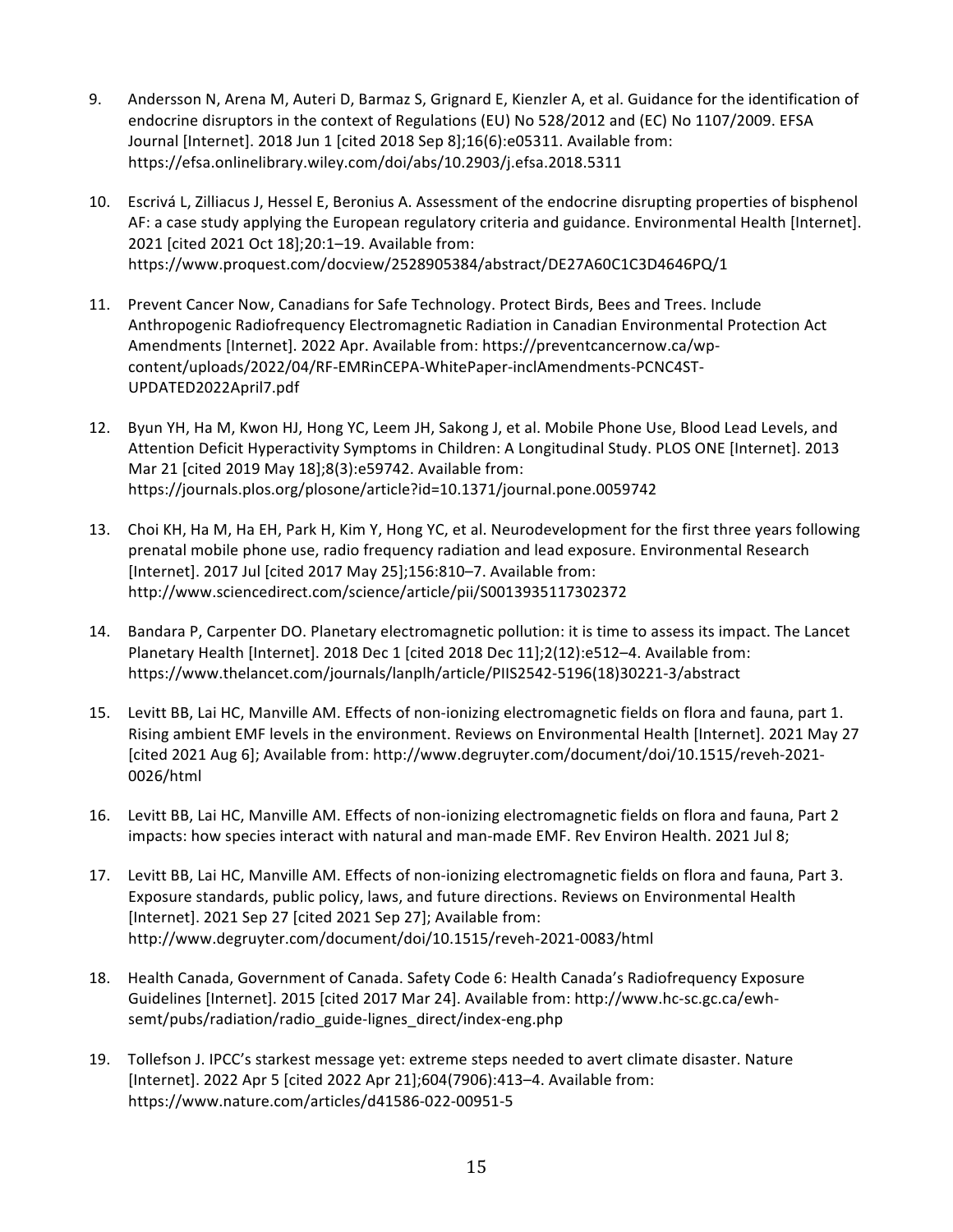- 9. Andersson N, Arena M, Auteri D, Barmaz S, Grignard E, Kienzler A, et al. Guidance for the identification of endocrine disruptors in the context of Regulations (EU) No 528/2012 and (EC) No 1107/2009. EFSA Journal [Internet]. 2018 Jun 1 [cited 2018 Sep 8];16(6):e05311. Available from: https://efsa.onlinelibrary.wiley.com/doi/abs/10.2903/j.efsa.2018.5311
- 10. Escrivá L, Zilliacus J, Hessel E, Beronius A. Assessment of the endocrine disrupting properties of bisphenol AF: a case study applying the European regulatory criteria and guidance. Environmental Health [Internet]. 2021 [cited 2021 Oct 18];20:1-19. Available from: https://www.proquest.com/docview/2528905384/abstract/DE27A60C1C3D4646PQ/1
- 11. Prevent Cancer Now, Canadians for Safe Technology. Protect Birds, Bees and Trees. Include Anthropogenic Radiofrequency Electromagnetic Radiation in Canadian Environmental Protection Act Amendments [Internet]. 2022 Apr. Available from: https://preventcancernow.ca/wpcontent/uploads/2022/04/RF-EMRinCEPA-WhitePaper-inclAmendments-PCNC4ST-UPDATED2022April7.pdf
- 12. Byun YH, Ha M, Kwon HJ, Hong YC, Leem JH, Sakong J, et al. Mobile Phone Use, Blood Lead Levels, and Attention Deficit Hyperactivity Symptoms in Children: A Longitudinal Study. PLOS ONE [Internet]. 2013 Mar 21 [cited 2019 May 18];8(3):e59742. Available from: https://journals.plos.org/plosone/article?id=10.1371/journal.pone.0059742
- 13. Choi KH, Ha M, Ha EH, Park H, Kim Y, Hong YC, et al. Neurodevelopment for the first three years following prenatal mobile phone use, radio frequency radiation and lead exposure. Environmental Research [Internet]. 2017 Jul [cited 2017 May 25];156:810-7. Available from: http://www.sciencedirect.com/science/article/pii/S0013935117302372
- 14. Bandara P, Carpenter DO. Planetary electromagnetic pollution: it is time to assess its impact. The Lancet Planetary Health [Internet]. 2018 Dec 1 [cited 2018 Dec 11];2(12):e512-4. Available from: https://www.thelancet.com/journals/lanplh/article/PIIS2542-5196(18)30221-3/abstract
- 15. Levitt BB, Lai HC, Manville AM. Effects of non-ionizing electromagnetic fields on flora and fauna, part 1. Rising ambient EMF levels in the environment. Reviews on Environmental Health [Internet]. 2021 May 27 [cited 2021 Aug 6]; Available from: http://www.degruyter.com/document/doi/10.1515/reveh-2021-0026/html
- 16. Levitt BB, Lai HC, Manville AM. Effects of non-ionizing electromagnetic fields on flora and fauna, Part 2 impacts: how species interact with natural and man-made EMF. Rev Environ Health. 2021 Jul 8;
- 17. Levitt BB, Lai HC, Manville AM. Effects of non-ionizing electromagnetic fields on flora and fauna, Part 3. Exposure standards, public policy, laws, and future directions. Reviews on Environmental Health [Internet]. 2021 Sep 27 [cited 2021 Sep 27]; Available from: http://www.degruyter.com/document/doi/10.1515/reveh-2021-0083/html
- 18. Health Canada, Government of Canada. Safety Code 6: Health Canada's Radiofrequency Exposure Guidelines [Internet]. 2015 [cited 2017 Mar 24]. Available from: http://www.hc-sc.gc.ca/ewhsemt/pubs/radiation/radio\_guide-lignes\_direct/index-eng.php
- 19. Tollefson J. IPCC's starkest message vet: extreme steps needed to avert climate disaster. Nature [Internet]. 2022 Apr 5 [cited 2022 Apr 21];604(7906):413-4. Available from: https://www.nature.com/articles/d41586-022-00951-5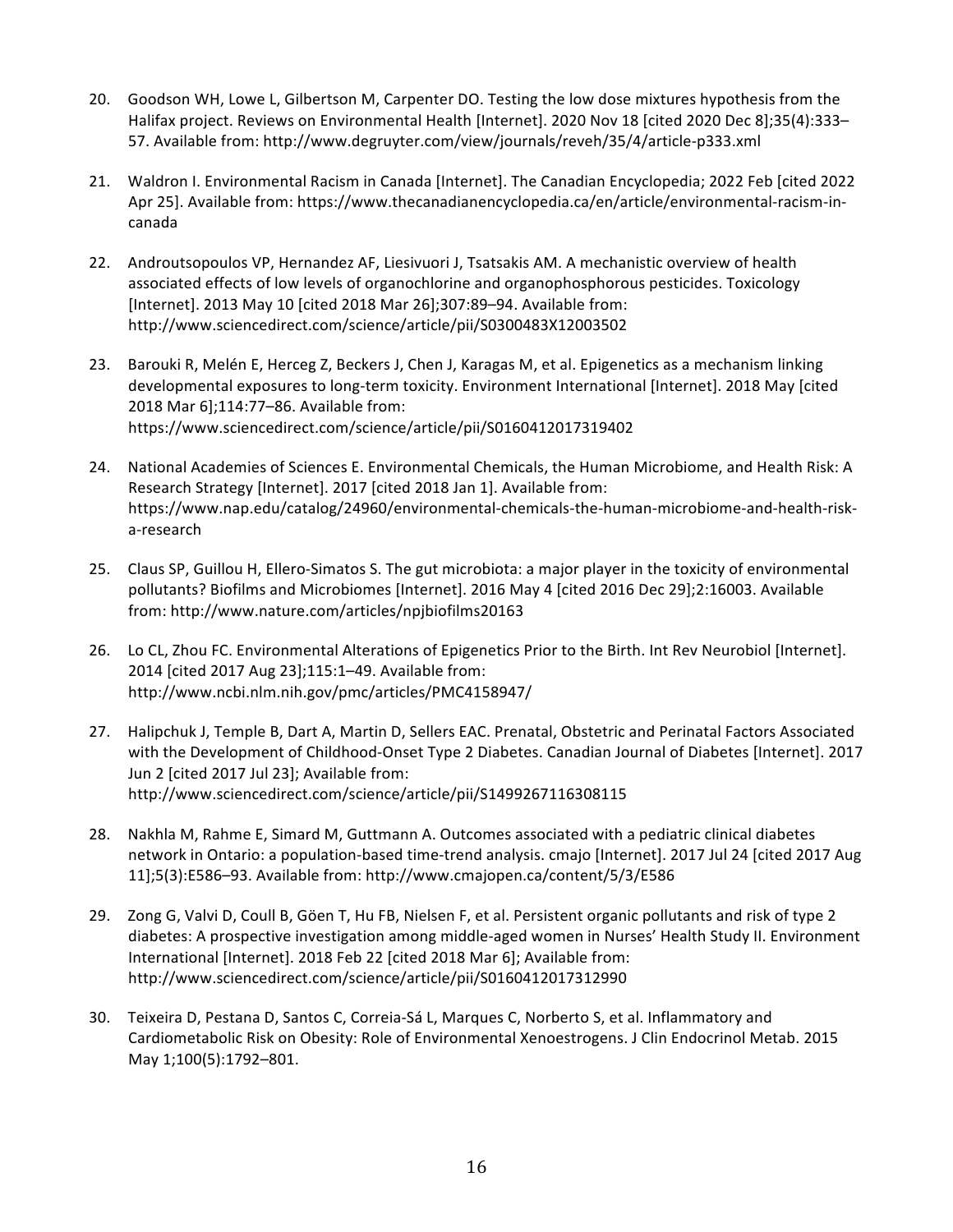- 20. Goodson WH, Lowe L, Gilbertson M, Carpenter DO. Testing the low dose mixtures hypothesis from the Halifax project. Reviews on Environmental Health [Internet]. 2020 Nov 18 [cited 2020 Dec 8];35(4):333-57. Available from: http://www.degruyter.com/view/journals/reveh/35/4/article-p333.xml
- 21. Waldron I. Environmental Racism in Canada [Internet]. The Canadian Encyclopedia; 2022 Feb [cited 2022 Apr 25]. Available from: https://www.thecanadianencyclopedia.ca/en/article/environmental-racism-incanada
- 22. Androutsopoulos VP, Hernandez AF, Liesivuori J, Tsatsakis AM. A mechanistic overview of health associated effects of low levels of organochlorine and organophosphorous pesticides. Toxicology [Internet]. 2013 May 10 [cited 2018 Mar 26];307:89-94. Available from: http://www.sciencedirect.com/science/article/pii/S0300483X12003502
- 23. Barouki R, Melén E, Herceg Z, Beckers J, Chen J, Karagas M, et al. Epigenetics as a mechanism linking developmental exposures to long-term toxicity. Environment International [Internet]. 2018 May [cited 2018 Mar 6];114:77-86. Available from: https://www.sciencedirect.com/science/article/pii/S0160412017319402
- 24. National Academies of Sciences E. Environmental Chemicals, the Human Microbiome, and Health Risk: A Research Strategy [Internet]. 2017 [cited 2018 Jan 1]. Available from: https://www.nap.edu/catalog/24960/environmental-chemicals-the-human-microbiome-and-health-riska-research
- 25. Claus SP, Guillou H, Ellero-Simatos S. The gut microbiota: a major player in the toxicity of environmental pollutants? Biofilms and Microbiomes [Internet]. 2016 May 4 [cited 2016 Dec 29];2:16003. Available from: http://www.nature.com/articles/npjbiofilms20163
- 26. Lo CL, Zhou FC. Environmental Alterations of Epigenetics Prior to the Birth. Int Rev Neurobiol [Internet]. 2014 [cited 2017 Aug 23];115:1-49. Available from: http://www.ncbi.nlm.nih.gov/pmc/articles/PMC4158947/
- 27. Halipchuk J, Temple B, Dart A, Martin D, Sellers EAC. Prenatal, Obstetric and Perinatal Factors Associated with the Development of Childhood-Onset Type 2 Diabetes. Canadian Journal of Diabetes [Internet]. 2017 Jun 2 [cited 2017 Jul 23]; Available from: http://www.sciencedirect.com/science/article/pii/S1499267116308115
- 28. Nakhla M, Rahme E, Simard M, Guttmann A. Outcomes associated with a pediatric clinical diabetes network in Ontario: a population-based time-trend analysis. cmajo [Internet]. 2017 Jul 24 [cited 2017 Aug 11];5(3):E586–93. Available from: http://www.cmajopen.ca/content/5/3/E586
- 29. Zong G, Valvi D, Coull B, Göen T, Hu FB, Nielsen F, et al. Persistent organic pollutants and risk of type 2 diabetes: A prospective investigation among middle-aged women in Nurses' Health Study II. Environment International [Internet]. 2018 Feb 22 [cited 2018 Mar 6]; Available from: http://www.sciencedirect.com/science/article/pii/S0160412017312990
- 30. Teixeira D, Pestana D, Santos C, Correia-Sá L, Marques C, Norberto S, et al. Inflammatory and Cardiometabolic Risk on Obesity: Role of Environmental Xenoestrogens. J Clin Endocrinol Metab. 2015 May 1;100(5):1792–801.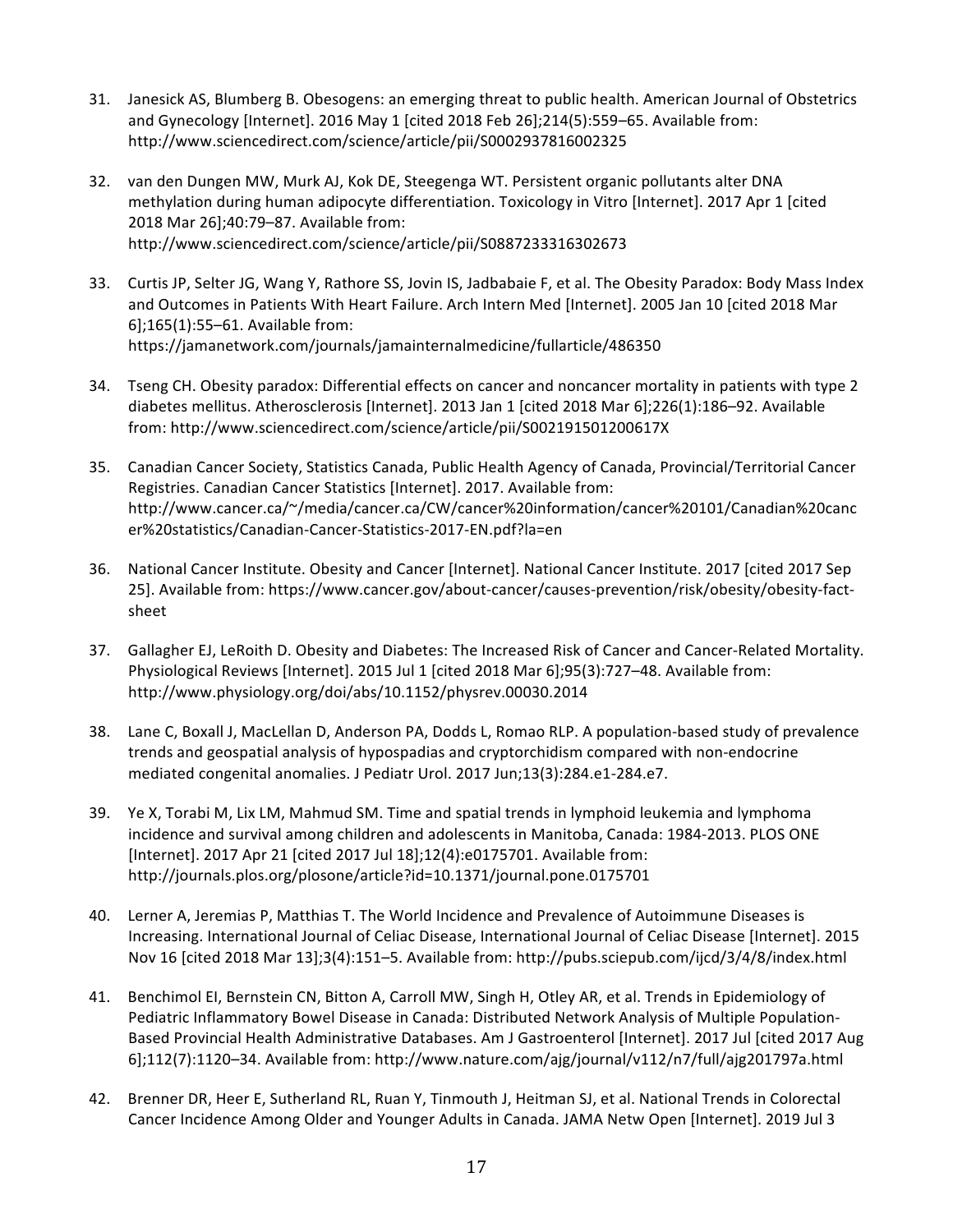- 31. Janesick AS, Blumberg B. Obesogens: an emerging threat to public health. American Journal of Obstetrics and Gynecology [Internet]. 2016 May 1 [cited 2018 Feb 26];214(5):559-65. Available from: http://www.sciencedirect.com/science/article/pii/S0002937816002325
- 32. van den Dungen MW, Murk AJ, Kok DE, Steegenga WT. Persistent organic pollutants alter DNA methylation during human adipocyte differentiation. Toxicology in Vitro [Internet]. 2017 Apr 1 [cited 2018 Mar 26];40:79-87. Available from: http://www.sciencedirect.com/science/article/pii/S0887233316302673
- 33. Curtis JP, Selter JG, Wang Y, Rathore SS, Jovin IS, Jadbabaie F, et al. The Obesity Paradox: Body Mass Index and Outcomes in Patients With Heart Failure. Arch Intern Med [Internet]. 2005 Jan 10 [cited 2018 Mar 6];165(1):55-61. Available from: https://jamanetwork.com/journals/jamainternalmedicine/fullarticle/486350
- 34. Tseng CH. Obesity paradox: Differential effects on cancer and noncancer mortality in patients with type 2 diabetes mellitus. Atherosclerosis [Internet]. 2013 Jan 1 [cited 2018 Mar 6];226(1):186–92. Available from: http://www.sciencedirect.com/science/article/pii/S002191501200617X
- 35. Canadian Cancer Society, Statistics Canada, Public Health Agency of Canada, Provincial/Territorial Cancer Registries. Canadian Cancer Statistics [Internet]. 2017. Available from: http://www.cancer.ca/~/media/cancer.ca/CW/cancer%20information/cancer%20101/Canadian%20canc er%20statistics/Canadian-Cancer-Statistics-2017-EN.pdf?la=en
- 36. National Cancer Institute. Obesity and Cancer [Internet]. National Cancer Institute. 2017 [cited 2017 Sep 25]. Available from: https://www.cancer.gov/about-cancer/causes-prevention/risk/obesity/obesity-factsheet
- 37. Gallagher EJ, LeRoith D. Obesity and Diabetes: The Increased Risk of Cancer and Cancer-Related Mortality. Physiological Reviews [Internet]. 2015 Jul 1 [cited 2018 Mar 6];95(3):727-48. Available from: http://www.physiology.org/doi/abs/10.1152/physrev.00030.2014
- 38. Lane C, Boxall J, MacLellan D, Anderson PA, Dodds L, Romao RLP. A population-based study of prevalence trends and geospatial analysis of hypospadias and cryptorchidism compared with non-endocrine mediated congenital anomalies. J Pediatr Urol. 2017 Jun;13(3):284.e1-284.e7.
- 39. Ye X, Torabi M, Lix LM, Mahmud SM. Time and spatial trends in lymphoid leukemia and lymphoma incidence and survival among children and adolescents in Manitoba, Canada: 1984-2013. PLOS ONE [Internet]. 2017 Apr 21 [cited 2017 Jul 18];12(4):e0175701. Available from: http://journals.plos.org/plosone/article?id=10.1371/journal.pone.0175701
- 40. Lerner A, Jeremias P, Matthias T. The World Incidence and Prevalence of Autoimmune Diseases is Increasing. International Journal of Celiac Disease, International Journal of Celiac Disease [Internet]. 2015 Nov 16 [cited 2018 Mar 13];3(4):151–5. Available from: http://pubs.sciepub.com/ijcd/3/4/8/index.html
- 41. Benchimol EI, Bernstein CN, Bitton A, Carroll MW, Singh H, Otley AR, et al. Trends in Epidemiology of Pediatric Inflammatory Bowel Disease in Canada: Distributed Network Analysis of Multiple Population-Based Provincial Health Administrative Databases. Am J Gastroenterol [Internet]. 2017 Jul [cited 2017 Aug 6];112(7):1120–34. Available from: http://www.nature.com/ajg/journal/v112/n7/full/ajg201797a.html
- 42. Brenner DR, Heer E, Sutherland RL, Ruan Y, Tinmouth J, Heitman SJ, et al. National Trends in Colorectal Cancer Incidence Among Older and Younger Adults in Canada. JAMA Netw Open [Internet]. 2019 Jul 3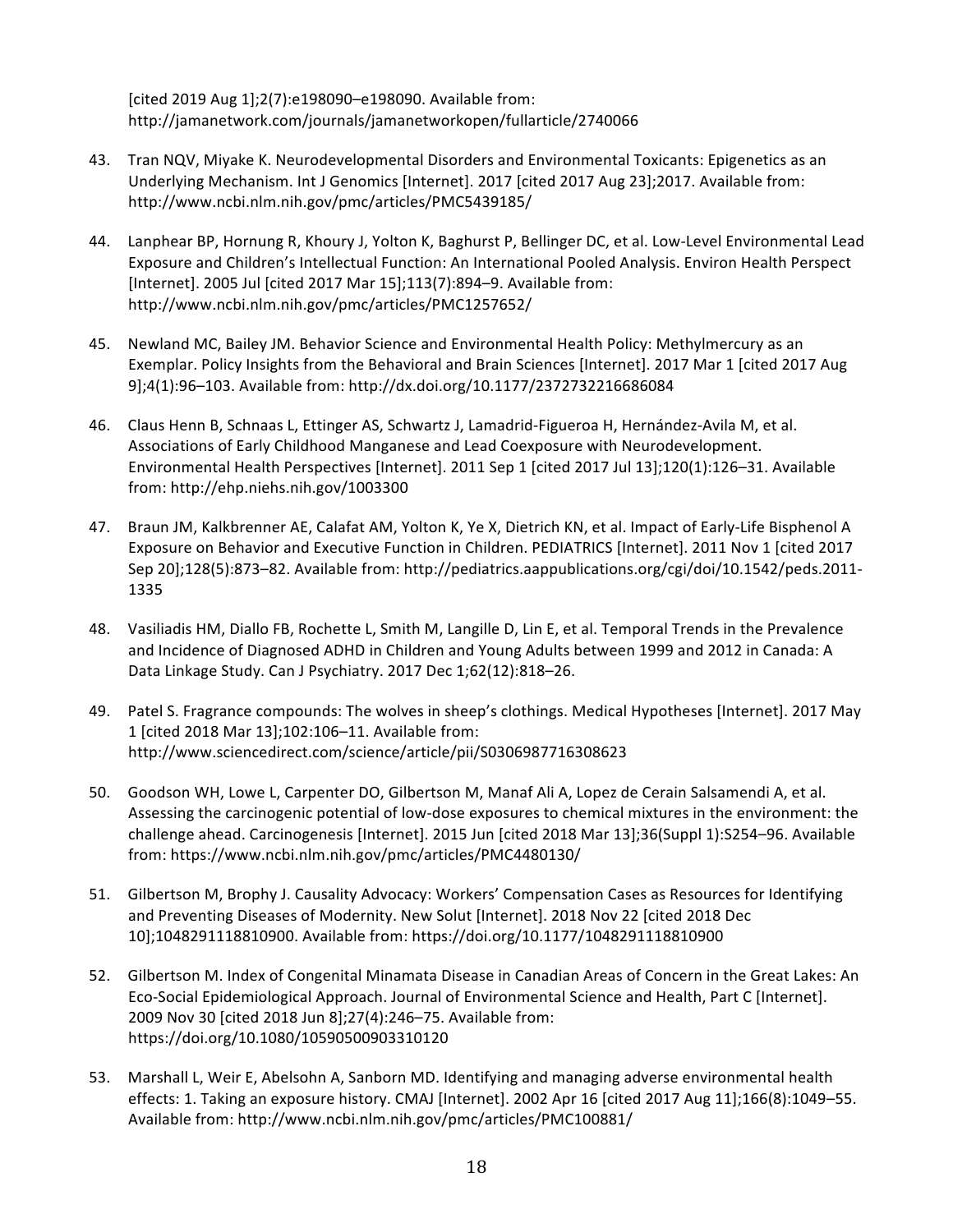[cited 2019 Aug 1];2(7):e198090-e198090. Available from: http://jamanetwork.com/journals/jamanetworkopen/fullarticle/2740066

- 43. Tran NQV, Miyake K. Neurodevelopmental Disorders and Environmental Toxicants: Epigenetics as an Underlying Mechanism. Int J Genomics [Internet]. 2017 [cited 2017 Aug 23];2017. Available from: http://www.ncbi.nlm.nih.gov/pmc/articles/PMC5439185/
- 44. Lanphear BP, Hornung R, Khoury J, Yolton K, Baghurst P, Bellinger DC, et al. Low-Level Environmental Lead Exposure and Children's Intellectual Function: An International Pooled Analysis. Environ Health Perspect [Internet]. 2005 Jul [cited 2017 Mar 15];113(7):894-9. Available from: http://www.ncbi.nlm.nih.gov/pmc/articles/PMC1257652/
- 45. Newland MC, Bailey JM. Behavior Science and Environmental Health Policy: Methylmercury as an Exemplar. Policy Insights from the Behavioral and Brain Sciences [Internet]. 2017 Mar 1 [cited 2017 Aug 9];4(1):96-103. Available from: http://dx.doi.org/10.1177/2372732216686084
- 46. Claus Henn B, Schnaas L, Ettinger AS, Schwartz J, Lamadrid-Figueroa H, Hernández-Avila M, et al. Associations of Early Childhood Manganese and Lead Coexposure with Neurodevelopment. Environmental Health Perspectives [Internet]. 2011 Sep 1 [cited 2017 Jul 13];120(1):126-31. Available from: http://ehp.niehs.nih.gov/1003300
- 47. Braun JM, Kalkbrenner AE, Calafat AM, Yolton K, Ye X, Dietrich KN, et al. Impact of Early-Life Bisphenol A Exposure on Behavior and Executive Function in Children. PEDIATRICS [Internet]. 2011 Nov 1 [cited 2017 Sep 20];128(5):873-82. Available from: http://pediatrics.aappublications.org/cgi/doi/10.1542/peds.2011-1335
- 48. Vasiliadis HM, Diallo FB, Rochette L, Smith M, Langille D, Lin E, et al. Temporal Trends in the Prevalence and Incidence of Diagnosed ADHD in Children and Young Adults between 1999 and 2012 in Canada: A Data Linkage Study. Can J Psychiatry. 2017 Dec 1;62(12):818-26.
- 49. Patel S. Fragrance compounds: The wolves in sheep's clothings. Medical Hypotheses [Internet]. 2017 May 1 [cited 2018 Mar 13];102:106-11. Available from: http://www.sciencedirect.com/science/article/pii/S0306987716308623
- 50. Goodson WH, Lowe L, Carpenter DO, Gilbertson M, Manaf Ali A, Lopez de Cerain Salsamendi A, et al. Assessing the carcinogenic potential of low-dose exposures to chemical mixtures in the environment: the challenge ahead. Carcinogenesis [Internet]. 2015 Jun [cited 2018 Mar 13];36(Suppl 1):S254-96. Available from: https://www.ncbi.nlm.nih.gov/pmc/articles/PMC4480130/
- 51. Gilbertson M, Brophy J. Causality Advocacy: Workers' Compensation Cases as Resources for Identifying and Preventing Diseases of Modernity. New Solut [Internet]. 2018 Nov 22 [cited 2018 Dec 10];1048291118810900. Available from: https://doi.org/10.1177/1048291118810900
- 52. Gilbertson M. Index of Congenital Minamata Disease in Canadian Areas of Concern in the Great Lakes: An Eco-Social Epidemiological Approach. Journal of Environmental Science and Health, Part C [Internet]. 2009 Nov 30 [cited 2018 Jun 8];27(4):246-75. Available from: https://doi.org/10.1080/10590500903310120
- 53. Marshall L, Weir E, Abelsohn A, Sanborn MD. Identifying and managing adverse environmental health effects: 1. Taking an exposure history. CMAJ [Internet]. 2002 Apr 16 [cited 2017 Aug 11];166(8):1049-55. Available from: http://www.ncbi.nlm.nih.gov/pmc/articles/PMC100881/